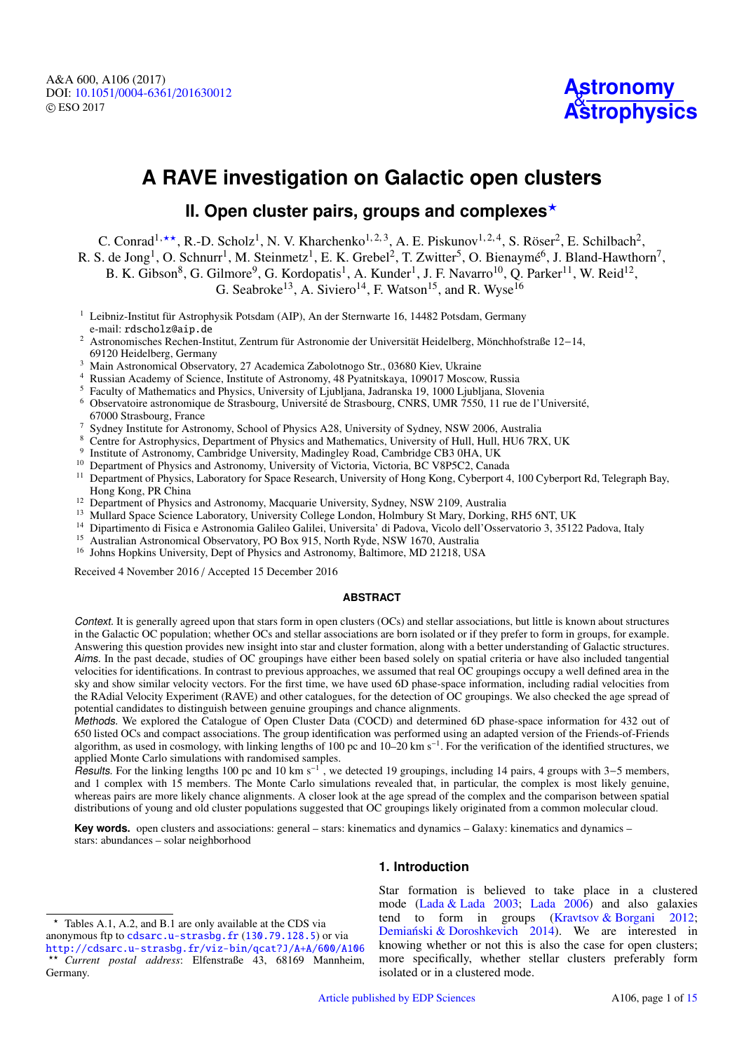A&A 600, A106 (2017) DOI: 10.1051/0004-6361/[201630012](https://doi.org/10.1051/0004-6361/201630012) c ESO 2017

**Astronomy [Astrophysics](http://www.aanda.org)**

# **A RAVE investigation on Galactic open clusters**

## **II. Open cluster pairs, groups and complexes** $\star$

C. Conrad<sup>1,\*\*</sup>, R.-D. Scholz<sup>1</sup>, N. V. Kharchenko<sup>1, 2, 3</sup>, A. E. Piskunov<sup>1, 2, 4</sup>, S. Röser<sup>2</sup>, E. Schilbach<sup>2</sup>,

R. S. de Jong<sup>1</sup>, O. Schnurr<sup>1</sup>, M. Steinmetz<sup>1</sup>, E. K. Grebel<sup>2</sup>, T. Zwitter<sup>5</sup>, O. Bienaymé<sup>6</sup>, J. Bland-Hawthorn<sup>7</sup>,

B. K. Gibson<sup>8</sup>, G. Gilmore<sup>9</sup>, G. Kordopatis<sup>1</sup>, A. Kunder<sup>1</sup>, J. F. Navarro<sup>10</sup>, Q. Parker<sup>11</sup>, W. Reid<sup>12</sup>,

G. Seabroke<sup>13</sup>, A. Siviero<sup>14</sup>, F. Watson<sup>15</sup>, and R. Wyse<sup>16</sup>

- <sup>1</sup> Leibniz-Institut für Astrophysik Potsdam (AIP), An der Sternwarte 16, 14482 Potsdam, Germany e-mail: rdscholz@aip.de
- <sup>2</sup> Astronomisches Rechen-Institut, Zentrum für Astronomie der Universität Heidelberg, Mönchhofstraße 12−14, 69120 Heidelberg, Germany
- <sup>3</sup> Main Astronomical Observatory, 27 Academica Zabolotnogo Str., 03680 Kiev, Ukraine
- <sup>4</sup> Russian Academy of Science, Institute of Astronomy, 48 Pyatnitskaya, 109017 Moscow, Russia

<sup>5</sup> Faculty of Mathematics and Physics, University of Ljubljana, Jadranska 19, 1000 Ljubljana, Slovenia

- <sup>6</sup> Observatoire astronomique de Strasbourg, Université de Strasbourg, CNRS, UMR 7550, 11 rue de l'Université, 67000 Strasbourg, France
- <sup>7</sup> Sydney Institute for Astronomy, School of Physics A28, University of Sydney, NSW 2006, Australia
- <sup>8</sup> Centre for Astrophysics, Department of Physics and Mathematics, University of Hull, Hull, HU6 7RX, UK
- <sup>9</sup> Institute of Astronomy, Cambridge University, Madingley Road, Cambridge CB3 0HA, UK
- <sup>10</sup> Department of Physics and Astronomy, University of Victoria, Victoria, BC V8P5C2, Canada
- <sup>11</sup> Department of Physics, Laboratory for Space Research, University of Hong Kong, Cyberport 4, 100 Cyberport Rd, Telegraph Bay, Hong Kong, PR China
- <sup>12</sup> Department of Physics and Astronomy, Macquarie University, Sydney, NSW 2109, Australia
- <sup>13</sup> Mullard Space Science Laboratory, University College London, Holmbury St Mary, Dorking, RH5 6NT, UK
- <sup>14</sup> Dipartimento di Fisica e Astronomia Galileo Galilei, Universita' di Padova, Vicolo dell'Osservatorio 3, 35122 Padova, Italy
- <sup>15</sup> Australian Astronomical Observatory, PO Box 915, North Ryde, NSW 1670, Australia
- <sup>16</sup> Johns Hopkins University, Dept of Physics and Astronomy, Baltimore, MD 21218, USA

Received 4 November 2016 / Accepted 15 December 2016

## **ABSTRACT**

Context. It is generally agreed upon that stars form in open clusters (OCs) and stellar associations, but little is known about structures in the Galactic OC population; whether OCs and stellar associations are born isolated or if they prefer to form in groups, for example. Answering this question provides new insight into star and cluster formation, along with a better understanding of Galactic structures. Aims. In the past decade, studies of OC groupings have either been based solely on spatial criteria or have also included tangential velocities for identifications. In contrast to previous approaches, we assumed that real OC groupings occupy a well defined area in the sky and show similar velocity vectors. For the first time, we have used 6D phase-space information, including radial velocities from the RAdial Velocity Experiment (RAVE) and other catalogues, for the detection of OC groupings. We also checked the age spread of potential candidates to distinguish between genuine groupings and chance alignments.

Methods. We explored the Catalogue of Open Cluster Data (COCD) and determined 6D phase-space information for 432 out of 650 listed OCs and compact associations. The group identification was performed using an adapted version of the Friends-of-Friends algorithm, as used in cosmology, with linking lengths of 100 pc and 10–20 km s<sup>−1</sup>. For the verification of the identified structures, we applied Monte Carlo simulations with randomised samples.

Results. For the linking lengths 100 pc and 10 km s<sup>-1</sup>, we detected 19 groupings, including 14 pairs, 4 groups with 3–5 members, and 1 complex with 15 members. The Monte Carlo simulations revealed that, in particular, the complex is most likely genuine, whereas pairs are more likely chance alignments. A closer look at the age spread of the complex and the comparison between spatial distributions of young and old cluster populations suggested that OC groupings likely originated from a common molecular cloud.

**Key words.** open clusters and associations: general – stars: kinematics and dynamics – Galaxy: kinematics and dynamics – stars: abundances – solar neighborhood

## **1. Introduction**

Star formation is believed to take place in a clustered mode [\(Lada & Lada](#page-14-0) [2003;](#page-14-0) [Lada](#page-14-1) [2006\)](#page-14-1) and also galaxies tend to form in groups [\(Kravtsov & Borgani](#page-14-2) [2012;](#page-14-2) Demiański & Doroshkevich <sup>2014</sup>). We are interested in knowing whether or not this is also the case for open clusters; more specifically, whether stellar clusters preferably form isolated or in a clustered mode.

<sup>?</sup> Tables A.1, A.2, and B.1 are only available at the CDS via anonymous ftp to [cdsarc.u-strasbg.fr](http://cdsarc.u-strasbg.fr) (<130.79.128.5>) or via <http://cdsarc.u-strasbg.fr/viz-bin/qcat?J/A+A/600/A106> ?? *Current postal address*: Elfenstraße 43, 68169 Mannheim, Germany.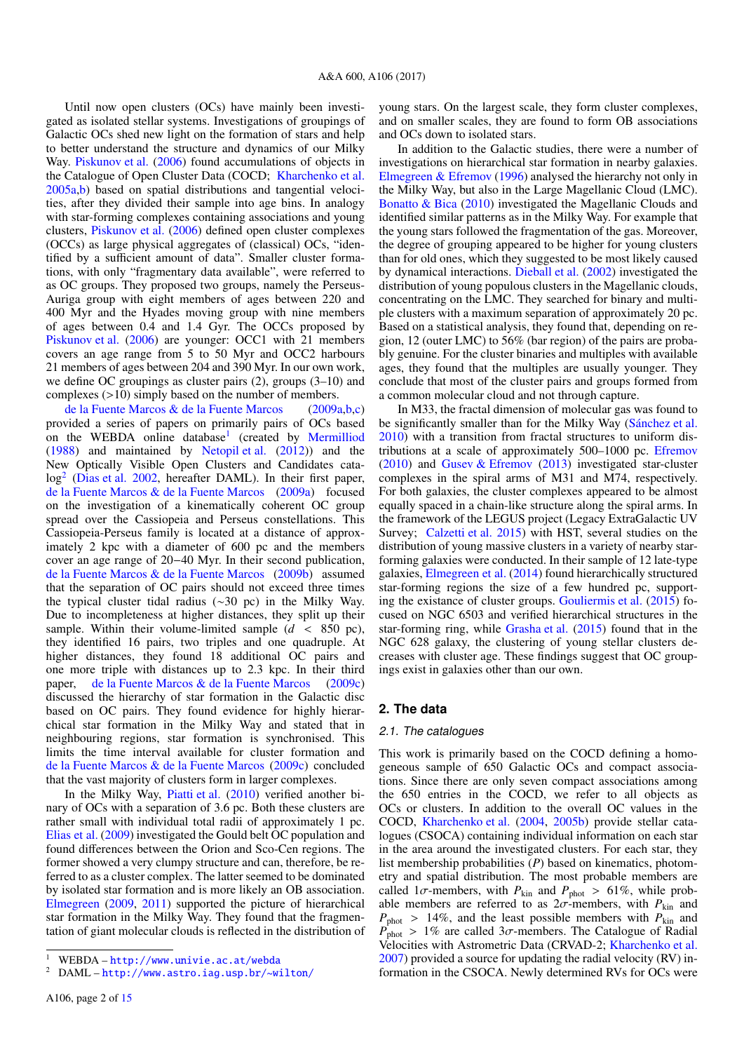Until now open clusters (OCs) have mainly been investigated as isolated stellar systems. Investigations of groupings of Galactic OCs shed new light on the formation of stars and help to better understand the structure and dynamics of our Milky Way. [Piskunov et al.](#page-14-4) [\(2006\)](#page-14-4) found accumulations of objects in the Catalogue of Open Cluster Data (COCD; [Kharchenko et al.](#page-14-5) [2005a,](#page-14-5)[b\)](#page-14-6) based on spatial distributions and tangential velocities, after they divided their sample into age bins. In analogy with star-forming complexes containing associations and young clusters, [Piskunov et al.](#page-14-4) [\(2006\)](#page-14-4) defined open cluster complexes (OCCs) as large physical aggregates of (classical) OCs, "identified by a sufficient amount of data". Smaller cluster formations, with only "fragmentary data available", were referred to as OC groups. They proposed two groups, namely the Perseus-Auriga group with eight members of ages between 220 and 400 Myr and the Hyades moving group with nine members of ages between 0.4 and 1.4 Gyr. The OCCs proposed by [Piskunov et al.](#page-14-4) [\(2006\)](#page-14-4) are younger: OCC1 with 21 members covers an age range from 5 to 50 Myr and OCC2 harbours 21 members of ages between 204 and 390 Myr. In our own work, we define OC groupings as cluster pairs (2), groups (3–10) and complexes (>10) simply based on the number of members.<br>de la Fuente Marcos & de la Fuente Marcos (2009a, b.c)

[de la Fuente Marcos & de la Fuente Marcos](#page-13-1) provided a series of papers on primarily pairs of OCs based on the WEBDA online database<sup>[1](#page-1-0)</sup> (created by [Mermilliod](#page-14-7) [\(1988\)](#page-14-7) and maintained by [Netopil et al.](#page-14-8) [\(2012\)](#page-14-8)) and the New Optically Visible Open Clusters and Candidates cata-log<sup>[2](#page-1-1)</sup> [\(Dias et al.](#page-13-4) [2002,](#page-13-4) hereafter DAML). In their first paper, [de la Fuente Marcos & de la Fuente Marcos](#page-13-1) [\(2009a\)](#page-13-1) focused on the investigation of a kinematically coherent OC group spread over the Cassiopeia and Perseus constellations. This Cassiopeia-Perseus family is located at a distance of approximately 2 kpc with a diameter of 600 pc and the members cover an age range of 20−40 Myr. In their second publication, [de la Fuente Marcos & de la Fuente Marcos](#page-13-2) [\(2009b\)](#page-13-2) assumed that the separation of OC pairs should not exceed three times the typical cluster tidal radius (∼30 pc) in the Milky Way. Due to incompleteness at higher distances, they split up their sample. Within their volume-limited sample  $(d < 850$  pc), they identified 16 pairs, two triples and one quadruple. At higher distances, they found 18 additional OC pairs and one more triple with distances up to 2.3 kpc. In their third paper, [de la Fuente Marcos & de la Fuente Marcos](#page-13-3) [\(2009c\)](#page-13-3) discussed the hierarchy of star formation in the Galactic disc based on OC pairs. They found evidence for highly hierarchical star formation in the Milky Way and stated that in neighbouring regions, star formation is synchronised. This limits the time interval available for cluster formation and [de la Fuente Marcos & de la Fuente Marcos](#page-13-3) [\(2009c\)](#page-13-3) concluded that the vast majority of clusters form in larger complexes.

In the Milky Way, [Piatti et al.](#page-14-9) [\(2010\)](#page-14-9) verified another binary of OCs with a separation of 3.6 pc. Both these clusters are rather small with individual total radii of approximately 1 pc. [Elias et al.](#page-13-5) [\(2009\)](#page-13-5) investigated the Gould belt OC population and found differences between the Orion and Sco-Cen regions. The former showed a very clumpy structure and can, therefore, be referred to as a cluster complex. The latter seemed to be dominated by isolated star formation and is more likely an OB association. [Elmegreen](#page-13-6) [\(2009,](#page-13-6) [2011\)](#page-13-7) supported the picture of hierarchical star formation in the Milky Way. They found that the fragmentation of giant molecular clouds is reflected in the distribution of young stars. On the largest scale, they form cluster complexes, and on smaller scales, they are found to form OB associations and OCs down to isolated stars.

In addition to the Galactic studies, there were a number of investigations on hierarchical star formation in nearby galaxies. [Elmegreen & Efremov](#page-13-8) [\(1996\)](#page-13-8) analysed the hierarchy not only in the Milky Way, but also in the Large Magellanic Cloud (LMC). [Bonatto & Bica](#page-13-9) [\(2010\)](#page-13-9) investigated the Magellanic Clouds and identified similar patterns as in the Milky Way. For example that the young stars followed the fragmentation of the gas. Moreover, the degree of grouping appeared to be higher for young clusters than for old ones, which they suggested to be most likely caused by dynamical interactions. [Dieball et al.](#page-13-10) [\(2002\)](#page-13-10) investigated the distribution of young populous clusters in the Magellanic clouds, concentrating on the LMC. They searched for binary and multiple clusters with a maximum separation of approximately 20 pc. Based on a statistical analysis, they found that, depending on region, 12 (outer LMC) to 56% (bar region) of the pairs are probably genuine. For the cluster binaries and multiples with available ages, they found that the multiples are usually younger. They conclude that most of the cluster pairs and groups formed from a common molecular cloud and not through capture.

In M33, the fractal dimension of molecular gas was found to be significantly smaller than for the Milky Way [\(Sánchez et al.](#page-14-10) [2010\)](#page-14-10) with a transition from fractal structures to uniform distributions at a scale of approximately 500–1000 pc. [Efremov](#page-13-11) [\(2010\)](#page-13-11) and [Gusev & Efremov](#page-14-11) [\(2013\)](#page-14-11) investigated star-cluster complexes in the spiral arms of M31 and M74, respectively. For both galaxies, the cluster complexes appeared to be almost equally spaced in a chain-like structure along the spiral arms. In the framework of the LEGUS project (Legacy ExtraGalactic UV Survey; [Calzetti et al.](#page-13-12) [2015\)](#page-13-12) with HST, several studies on the distribution of young massive clusters in a variety of nearby starforming galaxies were conducted. In their sample of 12 late-type galaxies, [Elmegreen et al.](#page-13-13) [\(2014\)](#page-13-13) found hierarchically structured star-forming regions the size of a few hundred pc, supporting the existance of cluster groups. [Gouliermis et al.](#page-14-12) [\(2015\)](#page-14-12) focused on NGC 6503 and verified hierarchical structures in the star-forming ring, while [Grasha et al.](#page-14-13) [\(2015\)](#page-14-13) found that in the NGC 628 galaxy, the clustering of young stellar clusters decreases with cluster age. These findings suggest that OC groupings exist in galaxies other than our own.

## **2. The data**

## 2.1. The catalogues

This work is primarily based on the COCD defining a homogeneous sample of 650 Galactic OCs and compact associations. Since there are only seven compact associations among the 650 entries in the COCD, we refer to all objects as OCs or clusters. In addition to the overall OC values in the COCD, [Kharchenko et al.](#page-14-14) [\(2004,](#page-14-14) [2005b\)](#page-14-6) provide stellar catalogues (CSOCA) containing individual information on each star in the area around the investigated clusters. For each star, they list membership probabilities (*P*) based on kinematics, photometry and spatial distribution. The most probable members are called 1 $\sigma$ -members, with  $P_{\text{kin}}$  and  $P_{\text{phot}} > 61\%$ , while probable members are referred to as  $2\sigma$ -members, with  $P_{kin}$  and  $P_{\text{phot}} > 14\%$ , and the least possible members with  $P_{\text{kin}}$  and  $P_{\text{phot}} > 1\%$  are called 3 $\sigma$ -members. The Catalogue of Radial Velocities with Astrometric Data (CRVAD-2; [Kharchenko et al.](#page-14-15) [2007\)](#page-14-15) provided a source for updating the radial velocity (RV) information in the CSOCA. Newly determined RVs for OCs were

<span id="page-1-0"></span><sup>1</sup> WEBDA – <http://www.univie.ac.at/webda>

<span id="page-1-1"></span>DAML-<http://www.astro.iag.usp.br/~wilton/>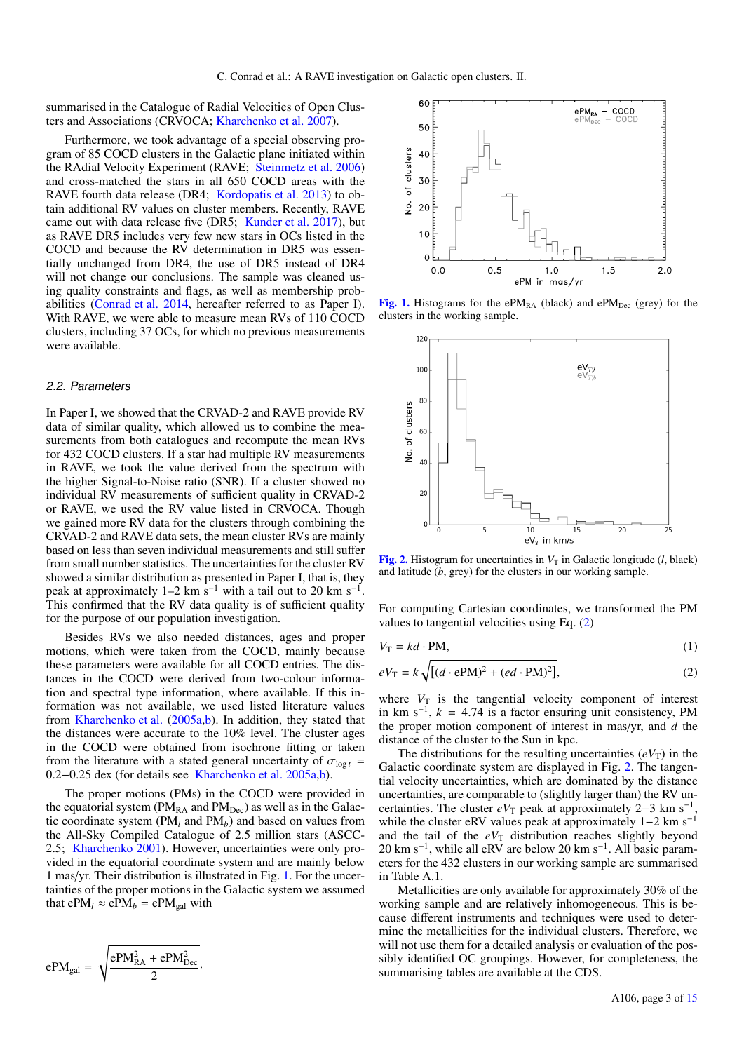summarised in the Catalogue of Radial Velocities of Open Clusters and Associations (CRVOCA; [Kharchenko et al.](#page-14-15) [2007\)](#page-14-15).

Furthermore, we took advantage of a special observing program of 85 COCD clusters in the Galactic plane initiated within the RAdial Velocity Experiment (RAVE; [Steinmetz et al.](#page-14-16) [2006\)](#page-14-16) and cross-matched the stars in all 650 COCD areas with the RAVE fourth data release (DR4; [Kordopatis et al.](#page-14-17) [2013\)](#page-14-17) to obtain additional RV values on cluster members. Recently, RAVE came out with data release five (DR5; [Kunder et al.](#page-14-18) [2017\)](#page-14-18), but as RAVE DR5 includes very few new stars in OCs listed in the COCD and because the RV determination in DR5 was essentially unchanged from DR4, the use of DR5 instead of DR4 will not change our conclusions. The sample was cleaned using quality constraints and flags, as well as membership probabilities [\(Conrad et al.](#page-13-14) [2014,](#page-13-14) hereafter referred to as Paper I). With RAVE, we were able to measure mean RVs of 110 COCD clusters, including 37 OCs, for which no previous measurements were available.

#### 2.2. Parameters

In Paper I, we showed that the CRVAD-2 and RAVE provide RV data of similar quality, which allowed us to combine the measurements from both catalogues and recompute the mean RVs for 432 COCD clusters. If a star had multiple RV measurements in RAVE, we took the value derived from the spectrum with the higher Signal-to-Noise ratio (SNR). If a cluster showed no individual RV measurements of sufficient quality in CRVAD-2 or RAVE, we used the RV value listed in CRVOCA. Though we gained more RV data for the clusters through combining the CRVAD-2 and RAVE data sets, the mean cluster RVs are mainly based on less than seven individual measurements and still suffer from small number statistics. The uncertainties for the cluster RV showed a similar distribution as presented in Paper I, that is, they peak at approximately 1–2 km  $\sin^{-1}$  with a tail out to 20 km s<sup>-1</sup>. This confirmed that the RV data quality is of sufficient quality for the purpose of our population investigation.

Besides RVs we also needed distances, ages and proper motions, which were taken from the COCD, mainly because these parameters were available for all COCD entries. The distances in the COCD were derived from two-colour information and spectral type information, where available. If this information was not available, we used listed literature values from [Kharchenko et al.](#page-14-5) [\(2005a,](#page-14-5)[b\)](#page-14-6). In addition, they stated that the distances were accurate to the 10% level. The cluster ages in the COCD were obtained from isochrone fitting or taken from the literature with a stated general uncertainty of  $\sigma_{\log t}$  = <sup>0</sup>.2−0.25 dex (for details see [Kharchenko et al.](#page-14-5) [2005a,](#page-14-5)[b\)](#page-14-6).

The proper motions (PMs) in the COCD were provided in the equatorial system ( $PM_{RA}$  and  $PM_{Dec}$ ) as well as in the Galactic coordinate system (PM*<sup>l</sup>* and PM*b*) and based on values from the All-Sky Compiled Catalogue of 2.5 million stars (ASCC-2.5; [Kharchenko](#page-14-19) [2001\)](#page-14-19). However, uncertainties were only provided in the equatorial coordinate system and are mainly below 1 mas/yr. Their distribution is illustrated in Fig. [1.](#page-2-0) For the uncertainties of the proper motions in the Galactic system we assumed that  $ePM_l \approx ePM_b = ePM_{gal}$  with

$$
ePM_{gal} = \sqrt{\frac{ePM_{RA}^2 + ePM_{Dec}^2}{2}}.
$$



<span id="page-2-0"></span>**[Fig. 1.](http://dexter.edpsciences.org/applet.php?DOI=10.1051/0004-6361/201630012&pdf_id=1)** Histograms for the ePM<sub>RA</sub> (black) and ePM<sub>Dec</sub> (grey) for the clusters in the working sample.



<span id="page-2-2"></span>[Fig. 2.](http://dexter.edpsciences.org/applet.php?DOI=10.1051/0004-6361/201630012&pdf_id=2) Histogram for uncertainties in  $V_T$  in Galactic longitude (*l*, black) and latitude (*b*, grey) for the clusters in our working sample.

For computing Cartesian coordinates, we transformed the PM values to tangential velocities using Eq. [\(2\)](#page-2-1)

<span id="page-2-1"></span>
$$
V_{\rm T} = kd \cdot \text{PM},\tag{1}
$$

$$
eV_{\rm T} = k\sqrt{[(d \cdot ePM)^2 + (ed \cdot PM)^2]},
$$
\n(2)

where  $V_T$  is the tangential velocity component of interest in km s<sup>-1</sup>,  $k = 4.74$  is a factor ensuring unit consistency, PM the proper motion component of interest in mas/yr and d the the proper motion component of interest in mas/yr, and *d* the distance of the cluster to the Sun in kpc.

The distributions for the resulting uncertainties  $(eV_T)$  in the Galactic coordinate system are displayed in Fig. [2.](#page-2-2) The tangential velocity uncertainties, which are dominated by the distance uncertainties, are comparable to (slightly larger than) the RV uncertainties. The cluster  $eV_T$  peak at approximately 2–3 km s<sup>-1</sup>, while the cluster eRV values peak at approximately  $1-2$  km s<sup>-1</sup> and the tail of the  $eV_T$  distribution reaches slightly beyond 20 km s<sup>-1</sup>, while all eRV are below 20 km s<sup>-1</sup>. All basic parameters for the 432 clusters in our working sample are summarised in Table A.1.

Metallicities are only available for approximately 30% of the working sample and are relatively inhomogeneous. This is because different instruments and techniques were used to determine the metallicities for the individual clusters. Therefore, we will not use them for a detailed analysis or evaluation of the possibly identified OC groupings. However, for completeness, the summarising tables are available at the CDS.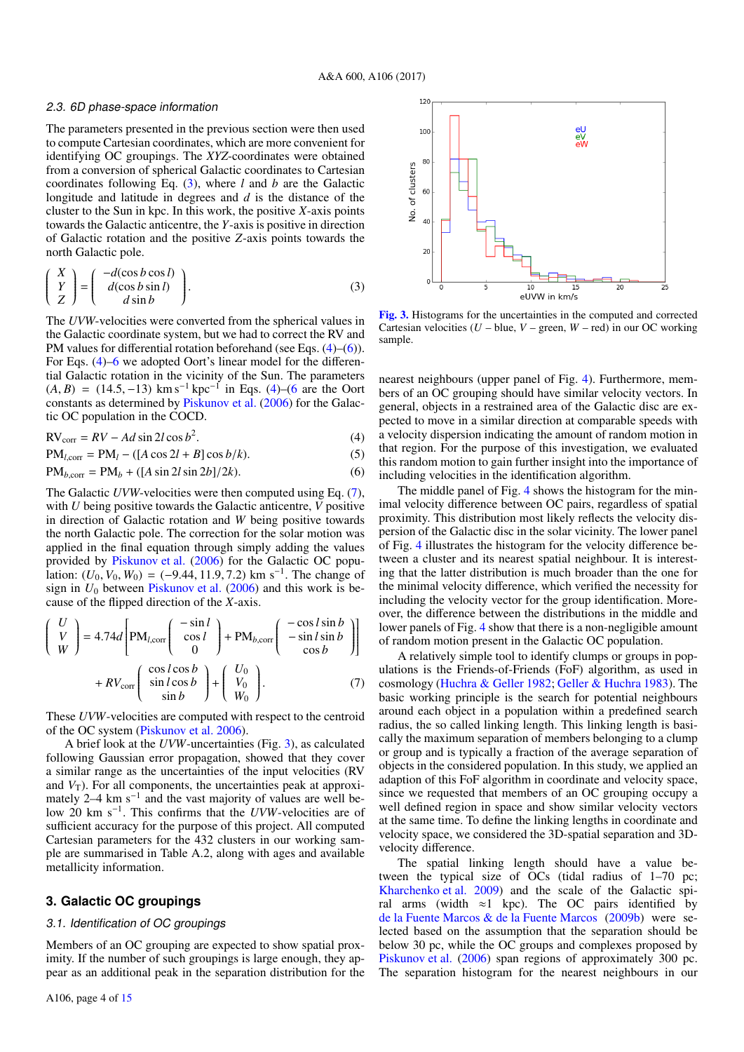#### 2.3. 6D phase-space information

The parameters presented in the previous section were then used to compute Cartesian coordinates, which are more convenient for identifying OC groupings. The *XYZ*-coordinates were obtained from a conversion of spherical Galactic coordinates to Cartesian coordinates following Eq. [\(3\)](#page-3-0), where *l* and *b* are the Galactic longitude and latitude in degrees and *d* is the distance of the cluster to the Sun in kpc. In this work, the positive *X*-axis points towards the Galactic anticentre, the *Y*-axis is positive in direction of Galactic rotation and the positive *Z*-axis points towards the north Galactic pole.

<span id="page-3-0"></span>
$$
\begin{pmatrix}\nX \\
Y \\
Z\n\end{pmatrix} = \begin{pmatrix}\n-d(\cos b \cos l) \\
d(\cos b \sin l) \\
d \sin b\n\end{pmatrix}.
$$
\n(3)

The *UVW*-velocities were converted from the spherical values in the Galactic coordinate system, but we had to correct the RV and PM values for differential rotation beforehand (see Eqs.  $(4)$ – $(6)$ ). For Eqs. [\(4\)](#page-3-1)[–6](#page-3-2) we adopted Oort's linear model for the differential Galactic rotation in the vicinity of the Sun. The parameters  $(A, B) = (14.5, -13) \text{ km s}^{-1} \text{ kpc}^{-1}$  in Eqs. [\(4\)](#page-3-1)–[\(6](#page-3-2) are the Oort constants as determined by Piskupov et al. (2006) for the Galacconstants as determined by [Piskunov et al.](#page-14-4) [\(2006\)](#page-14-4) for the Galactic OC population in the COCD.

$$
RV_{corr} = RV - Ad \sin 2l \cos b^2.
$$
\n<sup>(4)</sup>

$$
PMl,corr = PMl - ([A cos 2l + B] cos b/k).
$$
 (5)  
DM. PM<sub>l</sub> + (A sin 2l sin 2l) 2l) (6)

$$
PM_{b,corr} = PM_b + ([A \sin 2l \sin 2b]/2k). \tag{6}
$$

The Galactic *UVW*-velocities were then computed using Eq. [\(7\)](#page-3-3), with *U* being positive towards the Galactic anticentre, *V* positive in direction of Galactic rotation and *W* being positive towards the north Galactic pole. The correction for the solar motion was applied in the final equation through simply adding the values provided by [Piskunov et al.](#page-14-4) [\(2006\)](#page-14-4) for the Galactic OC population:  $(U_0, V_0, W_0) = (-9.44, 11.9, 7.2)$  km s<sup>-1</sup>. The change of sign in  $U_0$  between Piskupov et al. (2006) and this work is besign in  $U_0$  between [Piskunov et al.](#page-14-4) [\(2006\)](#page-14-4) and this work is because of the flipped direction of the *X*-axis.

$$
\begin{pmatrix}\nU \\
V \\
W\n\end{pmatrix} = 4.74d \begin{bmatrix}\nPM_{l,corr} & -\sin l \\
\cos l & + PM_{b,corr}\n\end{bmatrix} + PM_{b,corr} \begin{bmatrix}\n-\cos l \sin b \\
-\sin l \sin b \\
\cos b\n\end{bmatrix} + RV_{corr} \begin{pmatrix}\n\cos l \cos b \\
\sin l \cos b \\
\sin b\n\end{pmatrix} + \begin{pmatrix}\nU_0 \\
V_0 \\
W_0\n\end{pmatrix}.
$$
\n(7)

These *UVW*-velocities are computed with respect to the centroid of the OC system [\(Piskunov et al.](#page-14-4) [2006\)](#page-14-4).

A brief look at the *UVW*-uncertainties (Fig. [3\)](#page-3-4), as calculated following Gaussian error propagation, showed that they cover a similar range as the uncertainties of the input velocities (RV and  $V_T$ ). For all components, the uncertainties peak at approximately 2–4 km s<sup>-1</sup> and the vast majority of values are well below 20 km s<sup>−</sup><sup>1</sup> . This confirms that the *UVW*-velocities are of sufficient accuracy for the purpose of this project. All computed Cartesian parameters for the 432 clusters in our working sample are summarised in Table A.2, along with ages and available metallicity information.

## **3. Galactic OC groupings**

## 3.1. Identification of OC groupings

Members of an OC grouping are expected to show spatial proximity. If the number of such groupings is large enough, they appear as an additional peak in the separation distribution for the



<span id="page-3-4"></span>[Fig. 3.](http://dexter.edpsciences.org/applet.php?DOI=10.1051/0004-6361/201630012&pdf_id=3) Histograms for the uncertainties in the computed and corrected Cartesian velocities  $(U - blue, V - green, W - red)$  in our OC working sample.

<span id="page-3-1"></span>nearest neighbours (upper panel of Fig. [4\)](#page-4-0). Furthermore, members of an OC grouping should have similar velocity vectors. In general, objects in a restrained area of the Galactic disc are expected to move in a similar direction at comparable speeds with a velocity dispersion indicating the amount of random motion in that region. For the purpose of this investigation, we evaluated this random motion to gain further insight into the importance of including velocities in the identification algorithm.

<span id="page-3-2"></span>The middle panel of Fig. [4](#page-4-0) shows the histogram for the minimal velocity difference between OC pairs, regardless of spatial proximity. This distribution most likely reflects the velocity dispersion of the Galactic disc in the solar vicinity. The lower panel of Fig. [4](#page-4-0) illustrates the histogram for the velocity difference between a cluster and its nearest spatial neighbour. It is interesting that the latter distribution is much broader than the one for the minimal velocity difference, which verified the necessity for including the velocity vector for the group identification. Moreover, the difference between the distributions in the middle and lower panels of Fig. [4](#page-4-0) show that there is a non-negligible amount of random motion present in the Galactic OC population.

<span id="page-3-3"></span>A relatively simple tool to identify clumps or groups in populations is the Friends-of-Friends (FoF) algorithm, as used in cosmology [\(Huchra & Geller](#page-14-20) [1982;](#page-14-20) [Geller & Huchra](#page-14-21) [1983\)](#page-14-21). The basic working principle is the search for potential neighbours around each object in a population within a predefined search radius, the so called linking length. This linking length is basically the maximum separation of members belonging to a clump or group and is typically a fraction of the average separation of objects in the considered population. In this study, we applied an adaption of this FoF algorithm in coordinate and velocity space, since we requested that members of an OC grouping occupy a well defined region in space and show similar velocity vectors at the same time. To define the linking lengths in coordinate and velocity space, we considered the 3D-spatial separation and 3Dvelocity difference.

The spatial linking length should have a value between the typical size of OCs (tidal radius of 1–70 pc; [Kharchenko et al.](#page-14-22) [2009\)](#page-14-22) and the scale of the Galactic spiral arms (width  $\approx$ 1 kpc). The OC pairs identified by [de la Fuente Marcos & de la Fuente Marcos](#page-13-2) [\(2009b\)](#page-13-2) were selected based on the assumption that the separation should be below 30 pc, while the OC groups and complexes proposed by [Piskunov et al.](#page-14-4) [\(2006\)](#page-14-4) span regions of approximately 300 pc. The separation histogram for the nearest neighbours in our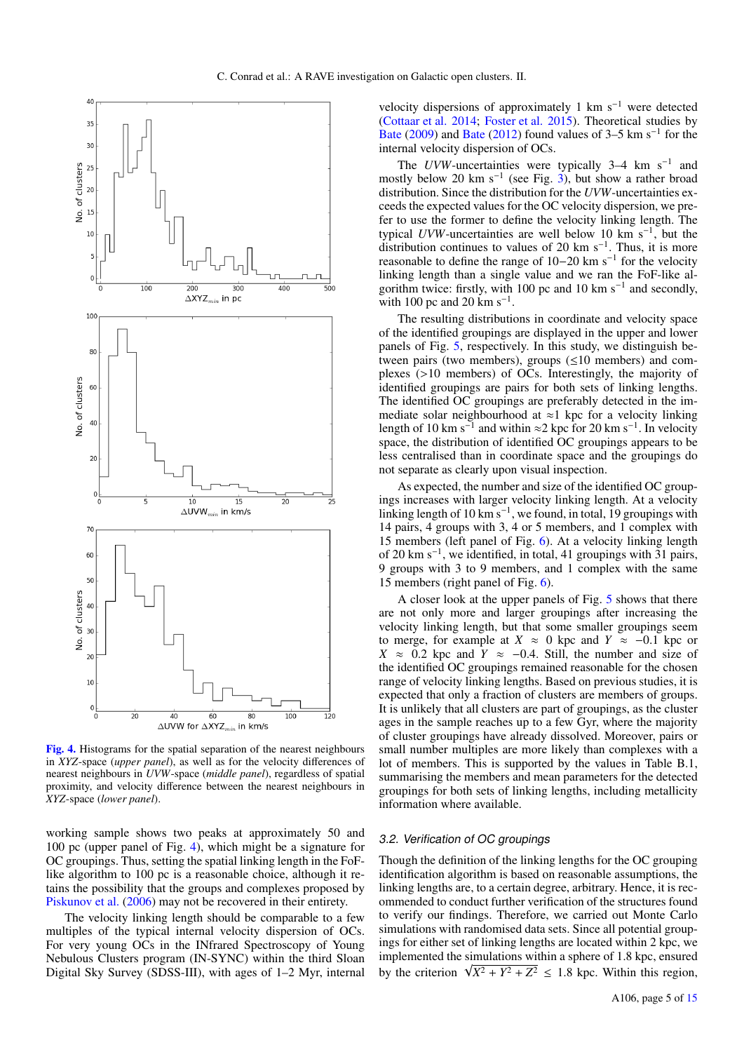

<span id="page-4-0"></span>[Fig. 4.](http://dexter.edpsciences.org/applet.php?DOI=10.1051/0004-6361/201630012&pdf_id=4) Histograms for the spatial separation of the nearest neighbours in *XYZ*-space (*upper panel*), as well as for the velocity differences of nearest neighbours in *UVW*-space (*middle panel*), regardless of spatial proximity, and velocity difference between the nearest neighbours in *XYZ*-space (*lower panel*).

working sample shows two peaks at approximately 50 and 100 pc (upper panel of Fig. [4\)](#page-4-0), which might be a signature for OC groupings. Thus, setting the spatial linking length in the FoFlike algorithm to 100 pc is a reasonable choice, although it retains the possibility that the groups and complexes proposed by [Piskunov et al.](#page-14-4) [\(2006\)](#page-14-4) may not be recovered in their entirety.

The velocity linking length should be comparable to a few multiples of the typical internal velocity dispersion of OCs. For very young OCs in the INfrared Spectroscopy of Young Nebulous Clusters program (IN-SYNC) within the third Sloan Digital Sky Survey (SDSS-III), with ages of 1–2 Myr, internal

velocity dispersions of approximately 1 km s−<sup>1</sup> were detected [\(Cottaar et al.](#page-13-15) [2014;](#page-13-15) [Foster et al.](#page-13-16) [2015\)](#page-13-16). Theoretical studies by [Bate](#page-13-17) [\(2009\)](#page-13-17) and [Bate](#page-13-18) [\(2012\)](#page-13-18) found values of 3–5 km s−<sup>1</sup> for the internal velocity dispersion of OCs.

The  $UVW$ -uncertainties were typically  $3-4$  km s<sup>-1</sup> and mostly below 20 km s<sup>-1</sup> (see Fig. [3\)](#page-3-4), but show a rather broad distribution. Since the distribution for the *UVW*-uncertainties exceeds the expected values for the OC velocity dispersion, we prefer to use the former to define the velocity linking length. The typical *UVW*-uncertainties are well below 10 km s−<sup>1</sup> , but the distribution continues to values of 20 km s<sup>-1</sup>. Thus, it is more reasonable to define the range of  $10-20$  km s<sup>-1</sup> for the velocity linking length than a single value and we ran the FoF-like algorithm twice: firstly, with 100 pc and 10 km  $s^{-1}$  and secondly, with 100 pc and 20  $\text{km s}^{-1}$ .

The resulting distributions in coordinate and velocity space of the identified groupings are displayed in the upper and lower panels of Fig. [5,](#page-5-0) respectively. In this study, we distinguish between pairs (two members), groups  $(\leq 10$  members) and complexes (>10 members) of OCs. Interestingly, the majority of identified groupings are pairs for both sets of linking lengths. The identified OC groupings are preferably detected in the immediate solar neighbourhood at  $\approx$ 1 kpc for a velocity linking length of 10 km s<sup>-1</sup> and within ≈2 kpc for 20 km s<sup>-1</sup>. In velocity space, the distribution of identified OC groupings appears to be less centralised than in coordinate space and the groupings do not separate as clearly upon visual inspection.

As expected, the number and size of the identified OC groupings increases with larger velocity linking length. At a velocity linking length of 10 km s<sup>-1</sup>, we found, in total, 19 groupings with 14 pairs, 4 groups with 3, 4 or 5 members, and 1 complex with 15 members (left panel of Fig. [6\)](#page-5-1). At a velocity linking length of 20 km s<sup>−</sup><sup>1</sup> , we identified, in total, 41 groupings with 31 pairs, 9 groups with 3 to 9 members, and 1 complex with the same 15 members (right panel of Fig. [6\)](#page-5-1).

A closer look at the upper panels of Fig. [5](#page-5-0) shows that there are not only more and larger groupings after increasing the velocity linking length, but that some smaller groupings seem to merge, for example at  $X \approx 0$  kpc and  $Y \approx -0.1$  kpc or  $X \approx 0.2$  kpc and  $Y \approx -0.4$ . Still, the number and size of the identified OC groupings remained reasonable for the chosen range of velocity linking lengths. Based on previous studies, it is expected that only a fraction of clusters are members of groups. It is unlikely that all clusters are part of groupings, as the cluster ages in the sample reaches up to a few Gyr, where the majority of cluster groupings have already dissolved. Moreover, pairs or small number multiples are more likely than complexes with a lot of members. This is supported by the values in Table B.1, summarising the members and mean parameters for the detected groupings for both sets of linking lengths, including metallicity information where available.

## 3.2. Verification of OC groupings

Though the definition of the linking lengths for the OC grouping identification algorithm is based on reasonable assumptions, the linking lengths are, to a certain degree, arbitrary. Hence, it is recommended to conduct further verification of the structures found to verify our findings. Therefore, we carried out Monte Carlo simulations with randomised data sets. Since all potential groupings for either set of linking lengths are located within 2 kpc, we implemented the simulations within a sphere of 1.8 kpc, ensured by the criterion  $\sqrt{X^2 + Y^2 + Z^2} \le 1.8$  kpc. Within this region,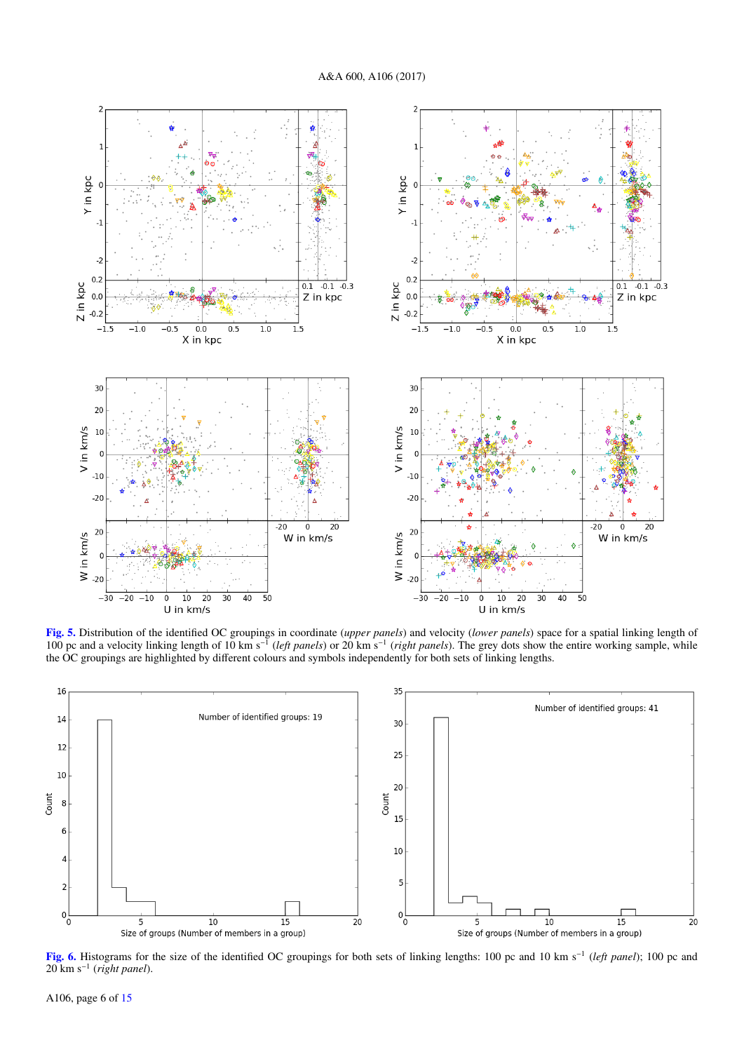

<span id="page-5-0"></span>[Fig. 5.](http://dexter.edpsciences.org/applet.php?DOI=10.1051/0004-6361/201630012&pdf_id=5) Distribution of the identified OC groupings in coordinate (*upper panels*) and velocity (*lower panels*) space for a spatial linking length of 100 pc and a velocity linking length of 10 km s<sup>−</sup><sup>1</sup> (*left panels*) or 20 km s<sup>−</sup><sup>1</sup> (*right panels*). The grey dots show the entire working sample, while the OC groupings are highlighted by different colours and symbols independently for both sets of linking lengths.



<span id="page-5-1"></span>[Fig. 6.](http://dexter.edpsciences.org/applet.php?DOI=10.1051/0004-6361/201630012&pdf_id=6) Histograms for the size of the identified OC groupings for both sets of linking lengths: 100 pc and 10 km s<sup>−</sup><sup>1</sup> (*left panel*); 100 pc and 20 km s<sup>−</sup><sup>1</sup> (*right panel*).

A106, page 6 of [15](#page-14-3)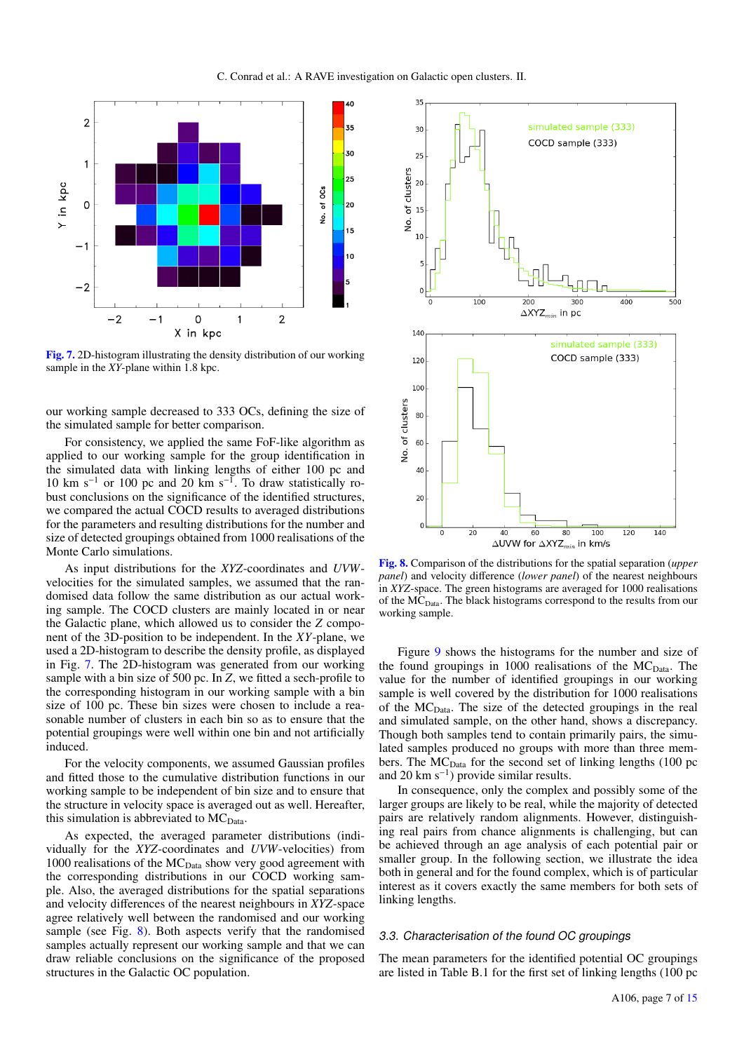

<span id="page-6-0"></span>[Fig. 7.](http://dexter.edpsciences.org/applet.php?DOI=10.1051/0004-6361/201630012&pdf_id=7) 2D-histogram illustrating the density distribution of our working sample in the *XY*-plane within 1.8 kpc.

our working sample decreased to 333 OCs, defining the size of the simulated sample for better comparison.

For consistency, we applied the same FoF-like algorithm as applied to our working sample for the group identification in the simulated data with linking lengths of either 100 pc and 10 km s<sup>-1</sup> or 100 pc and 20 km s<sup>-1</sup>. To draw statistically robust conclusions on the significance of the identified structures, we compared the actual COCD results to averaged distributions for the parameters and resulting distributions for the number and size of detected groupings obtained from 1000 realisations of the Monte Carlo simulations.

As input distributions for the *XYZ*-coordinates and *UVW*velocities for the simulated samples, we assumed that the randomised data follow the same distribution as our actual working sample. The COCD clusters are mainly located in or near the Galactic plane, which allowed us to consider the *Z* component of the 3D-position to be independent. In the *XY*-plane, we used a 2D-histogram to describe the density profile, as displayed in Fig. [7.](#page-6-0) The 2D-histogram was generated from our working sample with a bin size of 500 pc. In *Z*, we fitted a sech-profile to the corresponding histogram in our working sample with a bin size of 100 pc. These bin sizes were chosen to include a reasonable number of clusters in each bin so as to ensure that the potential groupings were well within one bin and not artificially induced.

For the velocity components, we assumed Gaussian profiles and fitted those to the cumulative distribution functions in our working sample to be independent of bin size and to ensure that the structure in velocity space is averaged out as well. Hereafter, this simulation is abbreviated to  $MC<sub>Data</sub>$ .

As expected, the averaged parameter distributions (individually for the *XYZ*-coordinates and *UVW*-velocities) from 1000 realisations of the  $MC<sub>Data</sub>$  show very good agreement with the corresponding distributions in our COCD working sample. Also, the averaged distributions for the spatial separations and velocity differences of the nearest neighbours in *XYZ*-space agree relatively well between the randomised and our working sample (see Fig. [8\)](#page-6-1). Both aspects verify that the randomised samples actually represent our working sample and that we can draw reliable conclusions on the significance of the proposed structures in the Galactic OC population.

![](_page_6_Figure_7.jpeg)

<span id="page-6-1"></span>[Fig. 8.](http://dexter.edpsciences.org/applet.php?DOI=10.1051/0004-6361/201630012&pdf_id=8) Comparison of the distributions for the spatial separation (*upper panel*) and velocity difference (*lower panel*) of the nearest neighbours in *XYZ*-space. The green histograms are averaged for 1000 realisations of the MC<sub>Data</sub>. The black histograms correspond to the results from our working sample.

Figure [9](#page-7-0) shows the histograms for the number and size of the found groupings in 1000 realisations of the  $MC<sub>Data</sub>$ . The value for the number of identified groupings in our working sample is well covered by the distribution for 1000 realisations of the  $MC<sub>Data</sub>$ . The size of the detected groupings in the real and simulated sample, on the other hand, shows a discrepancy. Though both samples tend to contain primarily pairs, the simulated samples produced no groups with more than three members. The MC<sub>Data</sub> for the second set of linking lengths (100 pc and 20 km  $s^{-1}$ ) provide similar results.

In consequence, only the complex and possibly some of the larger groups are likely to be real, while the majority of detected pairs are relatively random alignments. However, distinguishing real pairs from chance alignments is challenging, but can be achieved through an age analysis of each potential pair or smaller group. In the following section, we illustrate the idea both in general and for the found complex, which is of particular interest as it covers exactly the same members for both sets of linking lengths.

#### 3.3. Characterisation of the found OC groupings

The mean parameters for the identified potential OC groupings are listed in Table B.1 for the first set of linking lengths (100 pc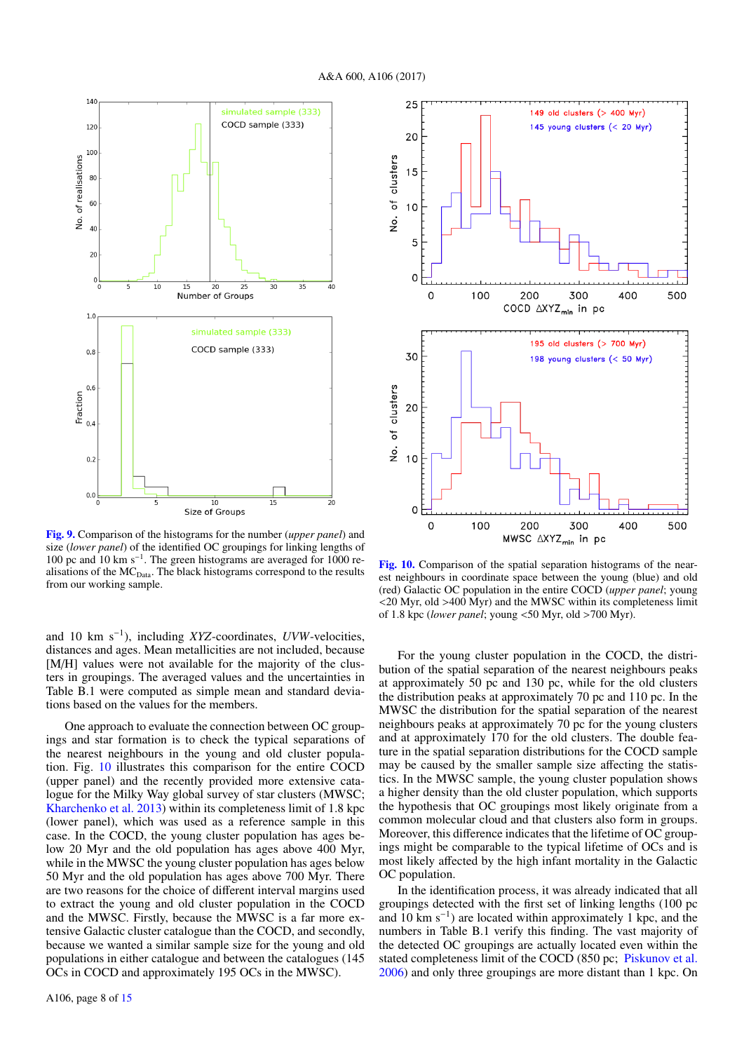![](_page_7_Figure_1.jpeg)

<span id="page-7-0"></span>[Fig. 9.](http://dexter.edpsciences.org/applet.php?DOI=10.1051/0004-6361/201630012&pdf_id=9) Comparison of the histograms for the number (*upper panel*) and size (*lower panel*) of the identified OC groupings for linking lengths of 100 pc and 10 km s<sup>−</sup><sup>1</sup> . The green histograms are averaged for 1000 realisations of the  $MC<sub>Data</sub>$ . The black histograms correspond to the results from our working sample.

and 10 km s<sup>−</sup><sup>1</sup> ), including *XYZ*-coordinates, *UVW*-velocities, distances and ages. Mean metallicities are not included, because [M/H] values were not available for the majority of the clusters in groupings. The averaged values and the uncertainties in Table B.1 were computed as simple mean and standard deviations based on the values for the members.

One approach to evaluate the connection between OC groupings and star formation is to check the typical separations of the nearest neighbours in the young and old cluster population. Fig. [10](#page-7-1) illustrates this comparison for the entire COCD (upper panel) and the recently provided more extensive catalogue for the Milky Way global survey of star clusters (MWSC; [Kharchenko et al.](#page-14-23) [2013\)](#page-14-23) within its completeness limit of 1.8 kpc (lower panel), which was used as a reference sample in this case. In the COCD, the young cluster population has ages below 20 Myr and the old population has ages above 400 Myr, while in the MWSC the young cluster population has ages below 50 Myr and the old population has ages above 700 Myr. There are two reasons for the choice of different interval margins used to extract the young and old cluster population in the COCD and the MWSC. Firstly, because the MWSC is a far more extensive Galactic cluster catalogue than the COCD, and secondly, because we wanted a similar sample size for the young and old populations in either catalogue and between the catalogues (145 OCs in COCD and approximately 195 OCs in the MWSC).

![](_page_7_Figure_6.jpeg)

<span id="page-7-1"></span>[Fig. 10.](http://dexter.edpsciences.org/applet.php?DOI=10.1051/0004-6361/201630012&pdf_id=10) Comparison of the spatial separation histograms of the nearest neighbours in coordinate space between the young (blue) and old (red) Galactic OC population in the entire COCD (*upper panel*; young <20 Myr, old >400 Myr) and the MWSC within its completeness limit of 1.8 kpc (*lower panel*; young <50 Myr, old >700 Myr).

For the young cluster population in the COCD, the distribution of the spatial separation of the nearest neighbours peaks at approximately 50 pc and 130 pc, while for the old clusters the distribution peaks at approximately 70 pc and 110 pc. In the MWSC the distribution for the spatial separation of the nearest neighbours peaks at approximately 70 pc for the young clusters and at approximately 170 for the old clusters. The double feature in the spatial separation distributions for the COCD sample may be caused by the smaller sample size affecting the statistics. In the MWSC sample, the young cluster population shows a higher density than the old cluster population, which supports the hypothesis that OC groupings most likely originate from a common molecular cloud and that clusters also form in groups. Moreover, this difference indicates that the lifetime of OC groupings might be comparable to the typical lifetime of OCs and is most likely affected by the high infant mortality in the Galactic OC population.

In the identification process, it was already indicated that all groupings detected with the first set of linking lengths (100 pc and 10 km s<sup>−</sup><sup>1</sup> ) are located within approximately 1 kpc, and the numbers in Table B.1 verify this finding. The vast majority of the detected OC groupings are actually located even within the stated completeness limit of the COCD (850 pc; [Piskunov et al.](#page-14-4) [2006\)](#page-14-4) and only three groupings are more distant than 1 kpc. On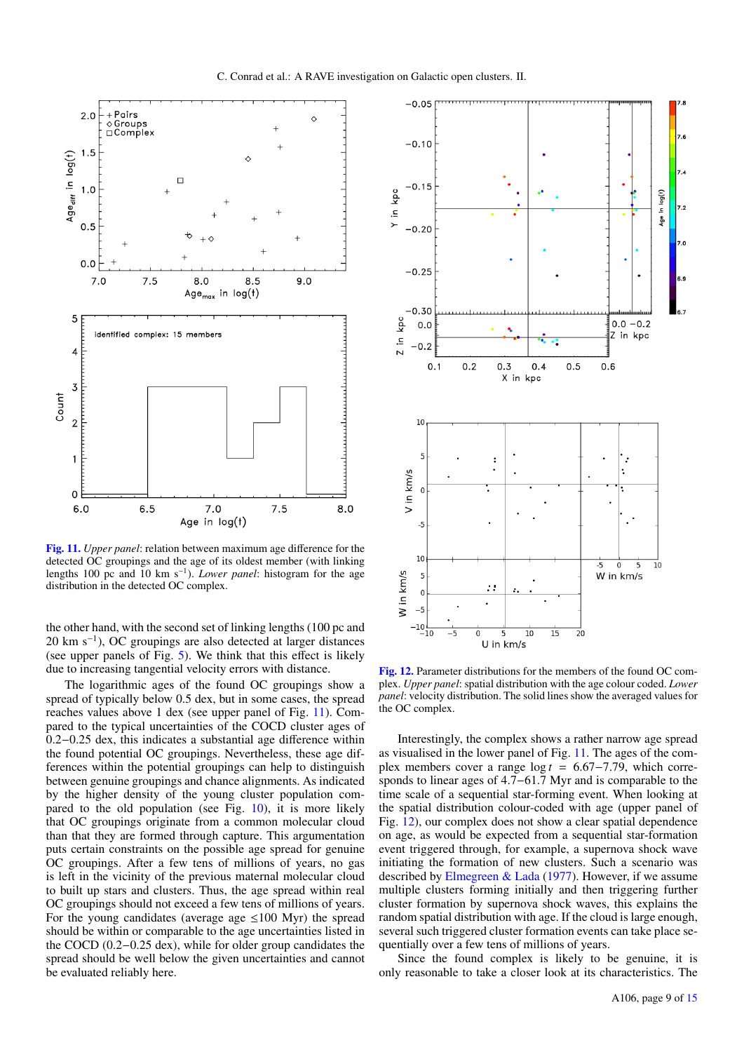![](_page_8_Figure_0.jpeg)

<span id="page-8-0"></span>[Fig. 11.](http://dexter.edpsciences.org/applet.php?DOI=10.1051/0004-6361/201630012&pdf_id=11) *Upper panel*: relation between maximum age difference for the detected OC groupings and the age of its oldest member (with linking lengths 100 pc and 10 km s<sup>−</sup><sup>1</sup> ). *Lower panel*: histogram for the age distribution in the detected OC complex.

the other hand, with the second set of linking lengths (100 pc and 20 km s<sup>-1</sup>), OC groupings are also detected at larger distances (see upper panels of Fig. [5\)](#page-5-0). We think that this effect is likely due to increasing tangential velocity errors with distance.

The logarithmic ages of the found OC groupings show a spread of typically below 0.5 dex, but in some cases, the spread reaches values above 1 dex (see upper panel of Fig. [11\)](#page-8-0). Compared to the typical uncertainties of the COCD cluster ages of <sup>0</sup>.2−0.25 dex, this indicates a substantial age difference within the found potential OC groupings. Nevertheless, these age differences within the potential groupings can help to distinguish between genuine groupings and chance alignments. As indicated by the higher density of the young cluster population compared to the old population (see Fig. [10\)](#page-7-1), it is more likely that OC groupings originate from a common molecular cloud than that they are formed through capture. This argumentation puts certain constraints on the possible age spread for genuine OC groupings. After a few tens of millions of years, no gas is left in the vicinity of the previous maternal molecular cloud to built up stars and clusters. Thus, the age spread within real OC groupings should not exceed a few tens of millions of years. For the young candidates (average age  $\leq 100$  Myr) the spread should be within or comparable to the age uncertainties listed in the COCD (0.2−0.25 dex), while for older group candidates the spread should be well below the given uncertainties and cannot be evaluated reliably here.

![](_page_8_Figure_5.jpeg)

<span id="page-8-1"></span>[Fig. 12.](http://dexter.edpsciences.org/applet.php?DOI=10.1051/0004-6361/201630012&pdf_id=12) Parameter distributions for the members of the found OC complex. *Upper panel*: spatial distribution with the age colour coded. *Lower panel*: velocity distribution. The solid lines show the averaged values for the OC complex.

Interestingly, the complex shows a rather narrow age spread as visualised in the lower panel of Fig. [11.](#page-8-0) The ages of the complex members cover a range log *<sup>t</sup>* <sup>=</sup> <sup>6</sup>.67−7.79, which corresponds to linear ages of 4.7−61.7 Myr and is comparable to the time scale of a sequential star-forming event. When looking at the spatial distribution colour-coded with age (upper panel of Fig. [12\)](#page-8-1), our complex does not show a clear spatial dependence on age, as would be expected from a sequential star-formation event triggered through, for example, a supernova shock wave initiating the formation of new clusters. Such a scenario was described by Elmegreen  $&$  Lada [\(1977\)](#page-13-19). However, if we assume multiple clusters forming initially and then triggering further cluster formation by supernova shock waves, this explains the random spatial distribution with age. If the cloud is large enough, several such triggered cluster formation events can take place sequentially over a few tens of millions of years.

Since the found complex is likely to be genuine, it is only reasonable to take a closer look at its characteristics. The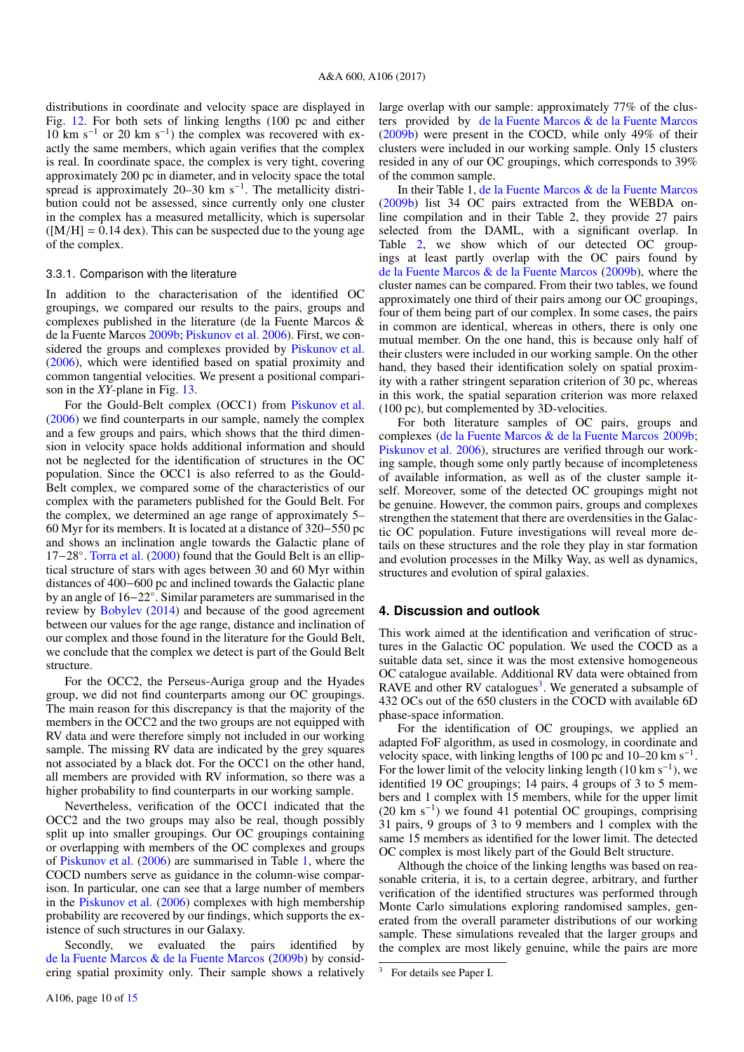distributions in coordinate and velocity space are displayed in Fig. [12.](#page-8-1) For both sets of linking lengths (100 pc and either 10 km s−<sup>1</sup> or 20 km s−<sup>1</sup> ) the complex was recovered with exactly the same members, which again verifies that the complex is real. In coordinate space, the complex is very tight, covering approximately 200 pc in diameter, and in velocity space the total spread is approximately 20–30 km s<sup>-1</sup>. The metallicity distribution could not be assessed, since currently only one cluster in the complex has a measured metallicity, which is supersolar  $([M/H] = 0.14$  dex). This can be suspected due to the young age of the complex.

#### 3.3.1. Comparison with the literature

In addition to the characterisation of the identified OC groupings, we compared our results to the pairs, groups and complexes published in the literature (de la Fuente Marcos & de la Fuente Marcos [2009b;](#page-13-2) [Piskunov et al.](#page-14-4) [2006\)](#page-14-4). First, we considered the groups and complexes provided by [Piskunov et al.](#page-14-4) [\(2006\)](#page-14-4), which were identified based on spatial proximity and common tangential velocities. We present a positional comparison in the *XY*-plane in Fig. [13.](#page-10-0)

For the Gould-Belt complex (OCC1) from [Piskunov et al.](#page-14-4) [\(2006\)](#page-14-4) we find counterparts in our sample, namely the complex and a few groups and pairs, which shows that the third dimension in velocity space holds additional information and should not be neglected for the identification of structures in the OC population. Since the OCC1 is also referred to as the Gould-Belt complex, we compared some of the characteristics of our complex with the parameters published for the Gould Belt. For the complex, we determined an age range of approximately 5– 60 Myr for its members. It is located at a distance of 320−550 pc and shows an inclination angle towards the Galactic plane of 17−28◦ . [Torra et al.](#page-14-24) [\(2000\)](#page-14-24) found that the Gould Belt is an elliptical structure of stars with ages between 30 and 60 Myr within distances of 400−600 pc and inclined towards the Galactic plane by an angle of 16−22◦ . Similar parameters are summarised in the review by [Bobylev](#page-13-20) [\(2014\)](#page-13-20) and because of the good agreement between our values for the age range, distance and inclination of our complex and those found in the literature for the Gould Belt, we conclude that the complex we detect is part of the Gould Belt structure.

For the OCC2, the Perseus-Auriga group and the Hyades group, we did not find counterparts among our OC groupings. The main reason for this discrepancy is that the majority of the members in the OCC2 and the two groups are not equipped with RV data and were therefore simply not included in our working sample. The missing RV data are indicated by the grey squares not associated by a black dot. For the OCC1 on the other hand, all members are provided with RV information, so there was a higher probability to find counterparts in our working sample.

Nevertheless, verification of the OCC1 indicated that the OCC2 and the two groups may also be real, though possibly split up into smaller groupings. Our OC groupings containing or overlapping with members of the OC complexes and groups of [Piskunov et al.](#page-14-4) [\(2006\)](#page-14-4) are summarised in Table [1,](#page-11-0) where the COCD numbers serve as guidance in the column-wise comparison. In particular, one can see that a large number of members in the [Piskunov et al.](#page-14-4) [\(2006\)](#page-14-4) complexes with high membership probability are recovered by our findings, which supports the existence of such structures in our Galaxy.

Secondly, we evaluated the pairs identified by [de la Fuente Marcos & de la Fuente Marcos](#page-13-2) [\(2009b\)](#page-13-2) by considering spatial proximity only. Their sample shows a relatively large overlap with our sample: approximately 77% of the clusters provided by [de la Fuente Marcos & de la Fuente Marcos](#page-13-2) [\(2009b\)](#page-13-2) were present in the COCD, while only 49% of their clusters were included in our working sample. Only 15 clusters resided in any of our OC groupings, which corresponds to 39% of the common sample.

In their Table 1, [de la Fuente Marcos & de la Fuente Marcos](#page-13-2) [\(2009b\)](#page-13-2) list 34 OC pairs extracted from the WEBDA online compilation and in their Table 2, they provide 27 pairs selected from the DAML, with a significant overlap. In Table [2,](#page-12-0) we show which of our detected OC groupings at least partly overlap with the OC pairs found by [de la Fuente Marcos & de la Fuente Marcos](#page-13-2) [\(2009b\)](#page-13-2), where the cluster names can be compared. From their two tables, we found approximately one third of their pairs among our OC groupings, four of them being part of our complex. In some cases, the pairs in common are identical, whereas in others, there is only one mutual member. On the one hand, this is because only half of their clusters were included in our working sample. On the other hand, they based their identification solely on spatial proximity with a rather stringent separation criterion of 30 pc, whereas in this work, the spatial separation criterion was more relaxed (100 pc), but complemented by 3D-velocities.

For both literature samples of OC pairs, groups and complexes [\(de la Fuente Marcos & de la Fuente Marcos](#page-13-2) [2009b;](#page-13-2) [Piskunov et al.](#page-14-4) [2006\)](#page-14-4), structures are verified through our working sample, though some only partly because of incompleteness of available information, as well as of the cluster sample itself. Moreover, some of the detected OC groupings might not be genuine. However, the common pairs, groups and complexes strengthen the statement that there are overdensities in the Galactic OC population. Future investigations will reveal more details on these structures and the role they play in star formation and evolution processes in the Milky Way, as well as dynamics, structures and evolution of spiral galaxies.

## **4. Discussion and outlook**

This work aimed at the identification and verification of structures in the Galactic OC population. We used the COCD as a suitable data set, since it was the most extensive homogeneous OC catalogue available. Additional RV data were obtained from RAVE and other RV catalogues<sup>[3](#page-9-0)</sup>. We generated a subsample of 432 OCs out of the 650 clusters in the COCD with available 6D phase-space information.

For the identification of OC groupings, we applied an adapted FoF algorithm, as used in cosmology, in coordinate and velocity space, with linking lengths of 100 pc and 10–20 km s<sup>-1</sup>. For the lower limit of the velocity linking length  $(10 \text{ km s}^{-1})$ , we identified 19 OC groupings; 14 pairs, 4 groups of 3 to 5 members and 1 complex with 15 members, while for the upper limit (20 km s<sup>−</sup><sup>1</sup> ) we found 41 potential OC groupings, comprising 31 pairs, 9 groups of 3 to 9 members and 1 complex with the same 15 members as identified for the lower limit. The detected OC complex is most likely part of the Gould Belt structure.

Although the choice of the linking lengths was based on reasonable criteria, it is, to a certain degree, arbitrary, and further verification of the identified structures was performed through Monte Carlo simulations exploring randomised samples, generated from the overall parameter distributions of our working sample. These simulations revealed that the larger groups and the complex are most likely genuine, while the pairs are more

<span id="page-9-0"></span>For details see Paper I.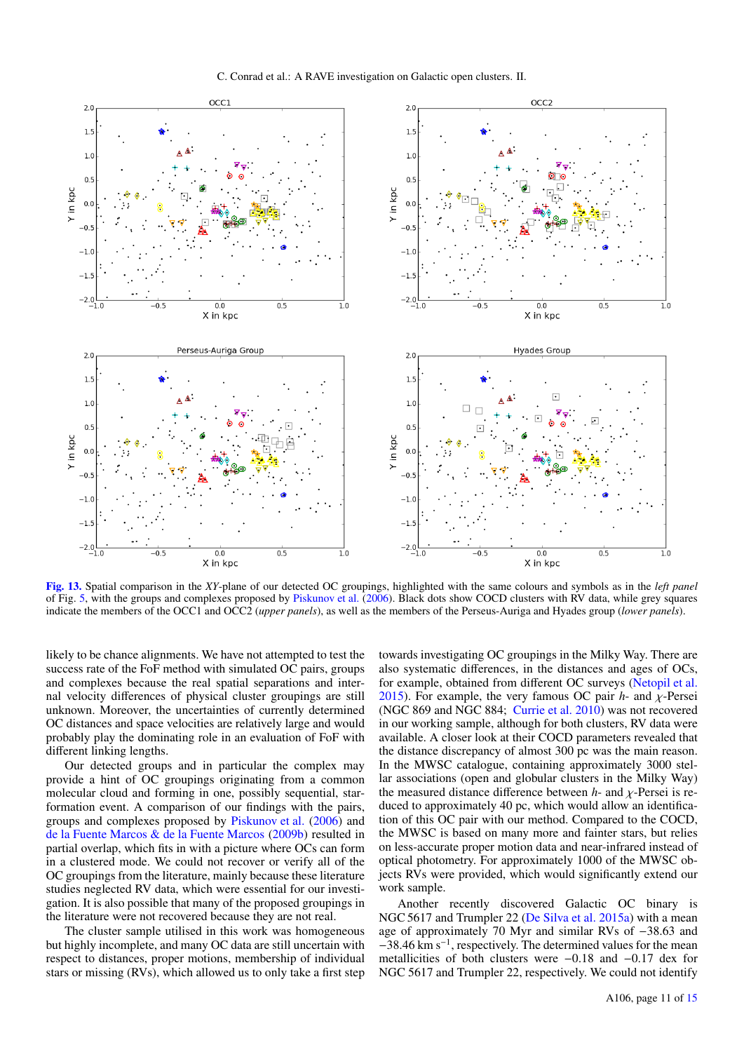![](_page_10_Figure_0.jpeg)

C. Conrad et al.: A RAVE investigation on Galactic open clusters. II.

<span id="page-10-0"></span>[Fig. 13.](http://dexter.edpsciences.org/applet.php?DOI=10.1051/0004-6361/201630012&pdf_id=13) Spatial comparison in the *XY*-plane of our detected OC groupings, highlighted with the same colours and symbols as in the *left panel* of Fig. [5,](#page-5-0) with the groups and complexes proposed by [Piskunov et al.](#page-14-4) [\(2006\)](#page-14-4). Black dots show COCD clusters with RV data, while grey squares indicate the members of the OCC1 and OCC2 (*upper panels*), as well as the members of the Perseus-Auriga and Hyades group (*lower panels*).

likely to be chance alignments. We have not attempted to test the success rate of the FoF method with simulated OC pairs, groups and complexes because the real spatial separations and internal velocity differences of physical cluster groupings are still unknown. Moreover, the uncertainties of currently determined OC distances and space velocities are relatively large and would probably play the dominating role in an evaluation of FoF with different linking lengths.

Our detected groups and in particular the complex may provide a hint of OC groupings originating from a common molecular cloud and forming in one, possibly sequential, starformation event. A comparison of our findings with the pairs, groups and complexes proposed by [Piskunov et al.](#page-14-4) [\(2006\)](#page-14-4) and [de la Fuente Marcos & de la Fuente Marcos](#page-13-2) [\(2009b\)](#page-13-2) resulted in partial overlap, which fits in with a picture where OCs can form in a clustered mode. We could not recover or verify all of the OC groupings from the literature, mainly because these literature studies neglected RV data, which were essential for our investigation. It is also possible that many of the proposed groupings in the literature were not recovered because they are not real.

The cluster sample utilised in this work was homogeneous but highly incomplete, and many OC data are still uncertain with respect to distances, proper motions, membership of individual stars or missing (RVs), which allowed us to only take a first step

towards investigating OC groupings in the Milky Way. There are also systematic differences, in the distances and ages of OCs, for example, obtained from different OC surveys [\(Netopil et al.](#page-14-25) [2015\)](#page-14-25). For example, the very famous OC pair *<sup>h</sup>*- and χ-Persei (NGC 869 and NGC 884; [Currie et al.](#page-13-21) [2010\)](#page-13-21) was not recovered in our working sample, although for both clusters, RV data were available. A closer look at their COCD parameters revealed that the distance discrepancy of almost 300 pc was the main reason. In the MWSC catalogue, containing approximately 3000 stellar associations (open and globular clusters in the Milky Way) the measured distance difference between *<sup>h</sup>*- and χ-Persei is reduced to approximately 40 pc, which would allow an identification of this OC pair with our method. Compared to the COCD, the MWSC is based on many more and fainter stars, but relies on less-accurate proper motion data and near-infrared instead of optical photometry. For approximately 1000 of the MWSC objects RVs were provided, which would significantly extend our work sample.

Another recently discovered Galactic OC binary is NGC 5617 and Trumpler 22 [\(De Silva et al.](#page-13-22) [2015a\)](#page-13-22) with a mean age of approximately 70 Myr and similar RVs of <sup>−</sup>38.63 and  $-38.46 \text{ km s}^{-1}$ , respectively. The determined values for the mean metallicities of both clusters were  $-0.18$  and  $-0.17$  dex for metallicities of both clusters were <sup>−</sup>0.18 and <sup>−</sup>0.17 dex for NGC 5617 and Trumpler 22, respectively. We could not identify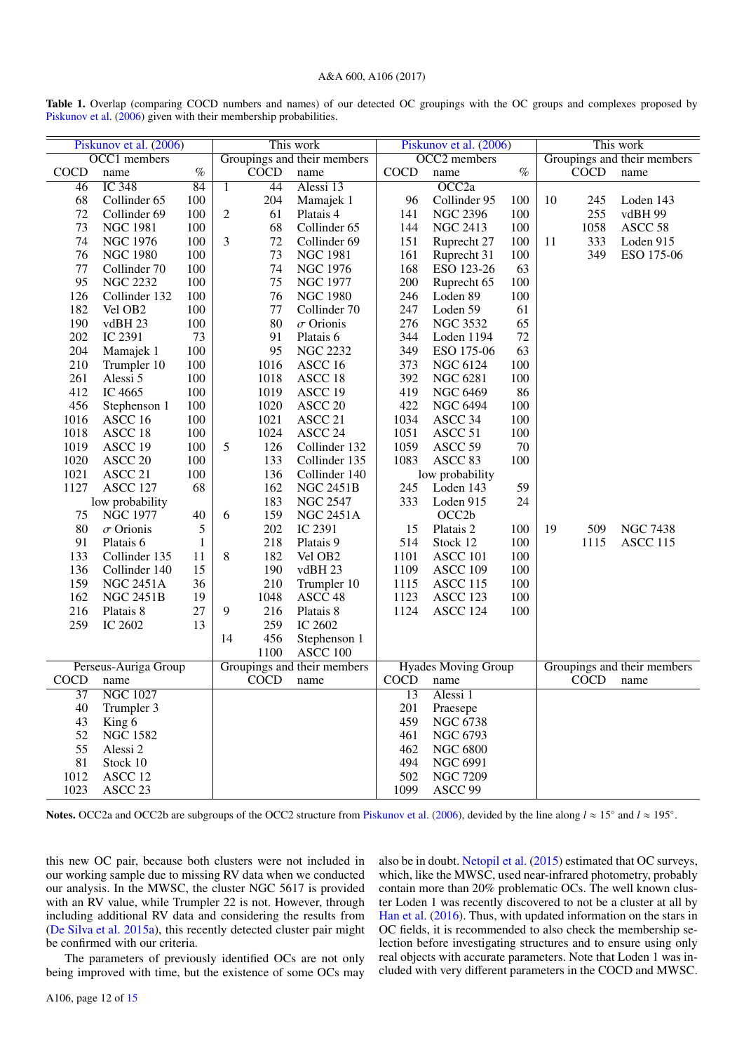#### A&A 600, A106 (2017)

<span id="page-11-0"></span>Table 1. Overlap (comparing COCD numbers and names) of our detected OC groupings with the OC groups and complexes proposed by [Piskunov et al.](#page-14-4) [\(2006\)](#page-14-4) given with their membership probabilities.

| Piskunov et al. (2006) |                     |                             | This work |              |                             | Piskunov et al. (2006) |                             |      | This work |             |                             |
|------------------------|---------------------|-----------------------------|-----------|--------------|-----------------------------|------------------------|-----------------------------|------|-----------|-------------|-----------------------------|
| OCC1 members           |                     | Groupings and their members |           |              | OCC2 members                |                        | Groupings and their members |      |           |             |                             |
| <b>COCD</b>            | name                | $\%$                        |           | <b>COCD</b>  | name                        | <b>COCD</b>            | name                        | $\%$ |           | <b>COCD</b> | name                        |
| 46                     | <b>IC 348</b>       | 84                          | 1         | 44           | Alessi 13                   |                        | OCC2a                       |      |           |             |                             |
| 68                     | Collinder 65        | 100                         |           | 204          | Mamajek 1                   | 96                     | Collinder 95                | 100  | 10        | 245         | Loden 143                   |
| 72                     | Collinder 69        | 100                         | 2         | 61           | Platais 4                   | 141                    | <b>NGC 2396</b>             | 100  |           | 255         | vdBH 99                     |
| 73                     | <b>NGC 1981</b>     | 100                         |           | 68           | Collinder 65                | 144                    | <b>NGC 2413</b>             | 100  |           | 1058        | ASCC <sub>58</sub>          |
| 74                     | <b>NGC 1976</b>     | 100                         | 3         | 72           | Collinder 69                | 151                    | Ruprecht 27                 | 100  | 11        | 333         | Loden 915                   |
| 76                     | <b>NGC 1980</b>     | 100                         |           | 73           | <b>NGC 1981</b>             | 161                    | Ruprecht 31                 | 100  |           | 349         | ESO 175-06                  |
| 77                     | Collinder 70        | 100                         |           | 74           | <b>NGC 1976</b>             | 168                    | ESO 123-26                  | 63   |           |             |                             |
| 95                     | <b>NGC 2232</b>     | 100                         |           | 75           | <b>NGC 1977</b>             | 200                    | Ruprecht 65                 | 100  |           |             |                             |
| 126                    | Collinder 132       | 100                         |           | 76           | <b>NGC 1980</b>             | 246                    | Loden 89                    | 100  |           |             |                             |
| 182                    | Vel OB <sub>2</sub> | 100                         |           | 77           | Collinder 70                | 247                    | Loden 59                    | 61   |           |             |                             |
| 190                    | vdBH 23             | 100                         |           | 80           | $\sigma$ Orionis            | 276                    | <b>NGC 3532</b>             | 65   |           |             |                             |
| 202                    | IC 2391             | 73                          |           | 91           | Platais 6                   | 344                    | Loden 1194                  | 72   |           |             |                             |
| 204                    | Mamajek 1           | 100                         |           | 95           | <b>NGC 2232</b>             | 349                    | ESO 175-06                  | 63   |           |             |                             |
| 210                    |                     |                             |           |              |                             | 373                    |                             | 100  |           |             |                             |
|                        | Trumpler 10         | 100                         |           | 1016         | ASCC <sub>16</sub>          |                        | <b>NGC 6124</b>             |      |           |             |                             |
| 261                    | Alessi 5            | 100                         |           | 1018         | ASCC <sub>18</sub>          | 392                    | <b>NGC 6281</b>             | 100  |           |             |                             |
| 412                    | IC 4665             | 100                         |           | 1019         | ASCC <sub>19</sub>          | 419                    | <b>NGC 6469</b>             | 86   |           |             |                             |
| 456                    | Stephenson 1        | 100                         |           | 1020         | ASCC <sub>20</sub>          | 422                    | <b>NGC 6494</b>             | 100  |           |             |                             |
| 1016                   | ASCC <sub>16</sub>  | 100                         |           | 1021         | ASCC <sub>21</sub>          | 1034                   | ASCC 34                     | 100  |           |             |                             |
| 1018                   | ASCC 18             | 100                         |           | 1024         | ASCC <sub>24</sub>          | 1051                   | ASCC <sub>51</sub>          | 100  |           |             |                             |
| 1019                   | ASCC 19             | 100                         | 5         | 126          | Collinder 132               | 1059                   | ASCC <sub>59</sub>          | 70   |           |             |                             |
| 1020                   | ASCC <sub>20</sub>  | 100                         |           | 133          | Collinder 135               | 1083                   | ASCC <sub>83</sub>          | 100  |           |             |                             |
| 1021                   | ASCC <sub>21</sub>  | 100                         |           | 136          | Collinder 140               |                        | low probability             |      |           |             |                             |
| 1127                   | <b>ASCC 127</b>     | 68                          |           | 162          | <b>NGC 2451B</b>            | 245                    | Loden 143                   | 59   |           |             |                             |
|                        | low probability     |                             |           | 183          | <b>NGC 2547</b>             | 333                    | Loden 915                   | 24   |           |             |                             |
| 75                     | <b>NGC 1977</b>     | 40                          | 6         | 159          | <b>NGC 2451A</b>            |                        | OCC2b                       |      |           |             |                             |
| 80                     | $\sigma$ Orionis    | 5                           |           | 202          | IC 2391                     | 15                     | Platais 2                   | 100  | 19        | 509         | <b>NGC 7438</b>             |
| 91                     | Platais 6           | 1                           |           | 218          | Platais 9                   | 514                    | Stock 12                    | 100  |           | 1115        | <b>ASCC 115</b>             |
| 133                    | Collinder 135       | 11                          | 8         | 182          | Vel OB <sub>2</sub>         | 1101                   | <b>ASCC 101</b>             | 100  |           |             |                             |
| 136                    | Collinder 140       | 15                          |           | 190          | vdBH 23                     | 1109                   | <b>ASCC 109</b>             | 100  |           |             |                             |
| 159                    | <b>NGC 2451A</b>    | 36                          |           | 210          | Trumpler 10                 | 1115                   | <b>ASCC 115</b>             | 100  |           |             |                             |
| 162                    | <b>NGC 2451B</b>    | 19                          |           | 1048         | ASCC <sub>48</sub>          | 1123                   | <b>ASCC 123</b>             | 100  |           |             |                             |
| 216                    | Platais 8           | 27                          | 9         | 216          | Platais 8                   | 1124                   | <b>ASCC 124</b>             | 100  |           |             |                             |
| 259                    | IC 2602             | 13                          |           | 259          | IC 2602                     |                        |                             |      |           |             |                             |
|                        |                     |                             | 14        | 456          | Stephenson 1                |                        |                             |      |           |             |                             |
|                        |                     |                             |           | 1100         | <b>ASCC 100</b>             |                        |                             |      |           |             |                             |
| Perseus-Auriga Group   |                     |                             |           |              | Groupings and their members |                        | <b>Hyades Moving Group</b>  |      |           |             | Groupings and their members |
| COCD<br>name           |                     | <b>COCD</b><br>name         |           | COCD<br>name |                             | <b>COCD</b><br>name    |                             |      |           |             |                             |
| $\overline{37}$        | <b>NGC 1027</b>     |                             |           |              |                             | 13                     | Alessi 1                    |      |           |             |                             |
| 40                     | Trumpler 3          |                             |           |              |                             | 201                    | Praesepe                    |      |           |             |                             |
| 43                     | King 6              |                             |           |              |                             | 459                    | <b>NGC 6738</b>             |      |           |             |                             |
| 52                     | <b>NGC 1582</b>     |                             |           |              |                             | 461                    | <b>NGC 6793</b>             |      |           |             |                             |
| 55                     | Alessi 2            |                             |           |              |                             | 462                    | <b>NGC 6800</b>             |      |           |             |                             |
| 81                     | Stock 10            |                             |           |              |                             | 494                    | <b>NGC 6991</b>             |      |           |             |                             |
| 1012                   | ASCC <sub>12</sub>  |                             |           |              |                             | 502                    | <b>NGC 7209</b>             |      |           |             |                             |
| 1023                   | ASCC <sub>23</sub>  |                             |           |              |                             | 1099                   | ASCC <sub>99</sub>          |      |           |             |                             |

Notes. OCC2a and OCC2b are subgroups of the OCC2 structure from [Piskunov et al.](#page-14-4) [\(2006\)](#page-14-4), devided by the line along *l* ≈ 15° and *l* ≈ 195°.

this new OC pair, because both clusters were not included in our working sample due to missing RV data when we conducted our analysis. In the MWSC, the cluster NGC 5617 is provided with an RV value, while Trumpler 22 is not. However, through including additional RV data and considering the results from [\(De Silva et al.](#page-13-22) [2015a\)](#page-13-22), this recently detected cluster pair might be confirmed with our criteria.

The parameters of previously identified OCs are not only being improved with time, but the existence of some OCs may

also be in doubt. [Netopil et al.](#page-14-25) [\(2015\)](#page-14-25) estimated that OC surveys, which, like the MWSC, used near-infrared photometry, probably contain more than 20% problematic OCs. The well known cluster Loden 1 was recently discovered to not be a cluster at all by [Han et al.](#page-14-26) [\(2016\)](#page-14-26). Thus, with updated information on the stars in OC fields, it is recommended to also check the membership selection before investigating structures and to ensure using only real objects with accurate parameters. Note that Loden 1 was included with very different parameters in the COCD and MWSC.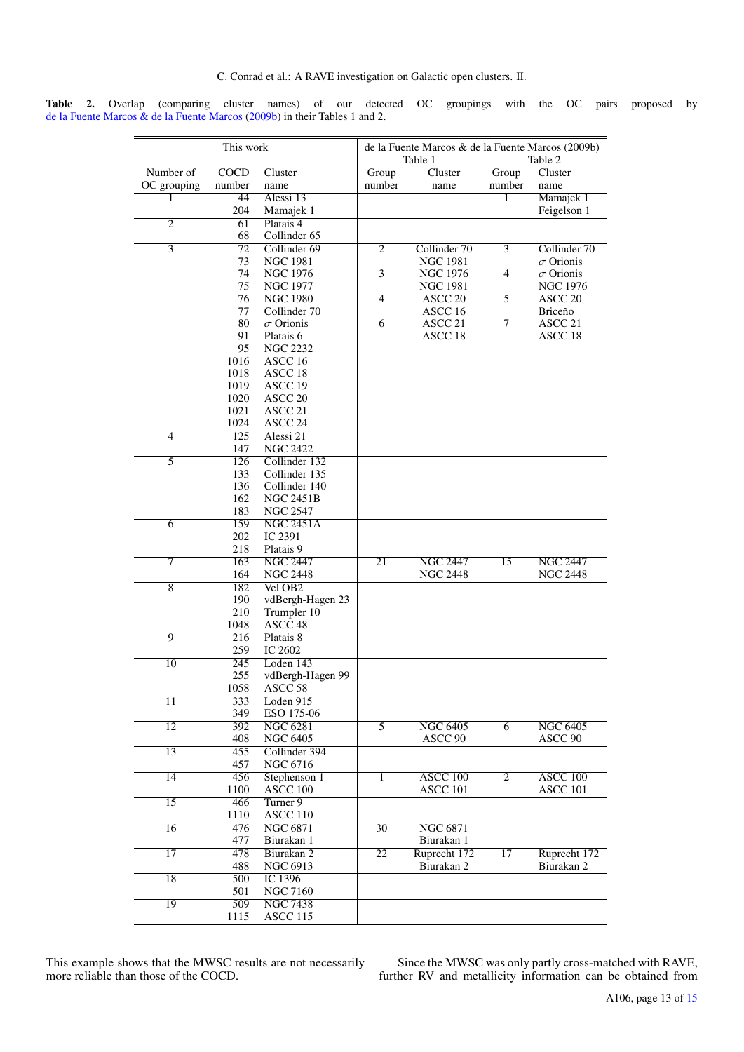Table 2. Overlap (comparing cluster names) of our detected OC groupings with the OC pairs proposed by [de la Fuente Marcos & de la Fuente Marcos](#page-13-2) [\(2009b\)](#page-13-2) in their Tables 1 and 2.

<span id="page-12-0"></span>

|                 | This work        |                                    | de la Fuente Marcos & de la Fuente Marcos (2009b)<br>Table 1<br>Table 2 |                    |                 |                                       |  |  |
|-----------------|------------------|------------------------------------|-------------------------------------------------------------------------|--------------------|-----------------|---------------------------------------|--|--|
| Number of       | <b>COCD</b>      | Cluster                            | Group                                                                   | Cluster            | Group           | Cluster                               |  |  |
| OC grouping     | number           | name                               | number                                                                  | name               | number          | name                                  |  |  |
| 1               | 44               | Alessi 13                          |                                                                         |                    | 1               | Mamajek 1                             |  |  |
|                 | 204              | Mamajek 1                          |                                                                         |                    |                 | Feigelson 1                           |  |  |
| $\overline{2}$  | $\overline{61}$  | Platais 4                          |                                                                         |                    |                 |                                       |  |  |
|                 | 68               | Collinder 65                       |                                                                         |                    |                 |                                       |  |  |
| $\overline{3}$  | $\overline{72}$  | Collinder 69                       | 2                                                                       | Collinder 70       | 3               | Collinder 70                          |  |  |
|                 | 73               | <b>NGC 1981</b>                    |                                                                         | <b>NGC 1981</b>    |                 | $\sigma$ Orionis                      |  |  |
|                 | 74               | <b>NGC 1976</b>                    | 3                                                                       | <b>NGC 1976</b>    | $\overline{4}$  | $\sigma$ Orionis                      |  |  |
|                 | 75<br>76         | <b>NGC 1977</b><br><b>NGC 1980</b> |                                                                         | <b>NGC 1981</b>    |                 | <b>NGC 1976</b><br>ASCC <sub>20</sub> |  |  |
|                 | 77               | Collinder 70                       | 4                                                                       | ASCC 20<br>ASCC 16 | 5               | <b>Briceno</b>                        |  |  |
|                 | 80               | $\sigma$ Orionis                   | 6                                                                       | ASCC 21            | 7               | ASCC <sub>21</sub>                    |  |  |
|                 | 91               | Platais 6                          |                                                                         | ASCC <sub>18</sub> |                 | ASCC <sub>18</sub>                    |  |  |
|                 | 95               | <b>NGC 2232</b>                    |                                                                         |                    |                 |                                       |  |  |
|                 | 1016             | ASCC <sub>16</sub>                 |                                                                         |                    |                 |                                       |  |  |
|                 | 1018             | ASCC <sub>18</sub>                 |                                                                         |                    |                 |                                       |  |  |
|                 | 1019             | ASCC <sub>19</sub>                 |                                                                         |                    |                 |                                       |  |  |
|                 | 1020             | ASCC <sub>20</sub>                 |                                                                         |                    |                 |                                       |  |  |
|                 | 1021             | ASCC <sub>21</sub>                 |                                                                         |                    |                 |                                       |  |  |
|                 | 1024             | ASCC 24                            |                                                                         |                    |                 |                                       |  |  |
| $\overline{4}$  | 125              | Alessi 21                          |                                                                         |                    |                 |                                       |  |  |
|                 | 147              | <b>NGC 2422</b>                    |                                                                         |                    |                 |                                       |  |  |
| 5               | 126              | Collinder 132                      |                                                                         |                    |                 |                                       |  |  |
|                 | 133              | Collinder 135                      |                                                                         |                    |                 |                                       |  |  |
|                 | 136              | Collinder 140                      |                                                                         |                    |                 |                                       |  |  |
|                 | 162              | <b>NGC 2451B</b>                   |                                                                         |                    |                 |                                       |  |  |
|                 | 183              | <b>NGC 2547</b>                    |                                                                         |                    |                 |                                       |  |  |
| 6               | 159              | <b>NGC 2451A</b>                   |                                                                         |                    |                 |                                       |  |  |
|                 | 202              | IC 2391                            |                                                                         |                    |                 |                                       |  |  |
|                 | 218              | Platais 9                          |                                                                         |                    |                 |                                       |  |  |
| 7               | 163              | <b>NGC 2447</b>                    | 21                                                                      | <b>NGC 2447</b>    | $\overline{15}$ | <b>NGC 2447</b>                       |  |  |
|                 | 164              | <b>NGC 2448</b>                    |                                                                         | <b>NGC 2448</b>    |                 | <b>NGC 2448</b>                       |  |  |
| $\overline{8}$  | 182              | Vel OB <sub>2</sub>                |                                                                         |                    |                 |                                       |  |  |
|                 | 190              | vdBergh-Hagen 23                   |                                                                         |                    |                 |                                       |  |  |
|                 | 210              | Trumpler 10                        |                                                                         |                    |                 |                                       |  |  |
|                 | 1048             | ASCC <sub>48</sub>                 |                                                                         |                    |                 |                                       |  |  |
| 9               | 216              | Platais 8                          |                                                                         |                    |                 |                                       |  |  |
|                 | 259              | IC 2602                            |                                                                         |                    |                 |                                       |  |  |
| $\overline{10}$ | $\overline{245}$ | Loden 143                          |                                                                         |                    |                 |                                       |  |  |
|                 | 255              | vdBergh-Hagen 99                   |                                                                         |                    |                 |                                       |  |  |
|                 | 1058             | ASCC <sub>58</sub>                 |                                                                         |                    |                 |                                       |  |  |
| $\overline{11}$ | 333              | Loden 915                          |                                                                         |                    |                 |                                       |  |  |
| $\overline{12}$ | 349              | ESO 175-06                         |                                                                         |                    |                 |                                       |  |  |
|                 | 392<br>408       | <b>NGC 6281</b>                    | $\overline{5}$                                                          | <b>NGC 6405</b>    | $\overline{6}$  | <b>NGC 6405</b>                       |  |  |
| $\overline{13}$ | 455              | <b>NGC 6405</b><br>Collinder 394   |                                                                         | ASCC <sub>90</sub> |                 | ASCC <sub>90</sub>                    |  |  |
|                 | 457              | NGC 6716                           |                                                                         |                    |                 |                                       |  |  |
| $\overline{14}$ | 456              | Stephenson 1                       | 1                                                                       | <b>ASCC 100</b>    | $\overline{2}$  | <b>ASCC 100</b>                       |  |  |
|                 | 1100             | <b>ASCC 100</b>                    |                                                                         | <b>ASCC 101</b>    |                 | <b>ASCC 101</b>                       |  |  |
| $\overline{15}$ | 466              | Turner 9                           |                                                                         |                    |                 |                                       |  |  |
|                 | 1110             | <b>ASCC 110</b>                    |                                                                         |                    |                 |                                       |  |  |
| $\overline{16}$ | 476              | <b>NGC 6871</b>                    | $\overline{30}$                                                         | <b>NGC 6871</b>    |                 |                                       |  |  |
|                 | 477              | Biurakan 1                         |                                                                         | Biurakan 1         |                 |                                       |  |  |
| $\overline{17}$ | 478              | Biurakan <sub>2</sub>              | $\overline{22}$                                                         | Ruprecht 172       | 17              | Ruprecht 172                          |  |  |
|                 | 488              | NGC 6913                           |                                                                         | Biurakan 2         |                 | Biurakan 2                            |  |  |
| 18              | 500              | <b>IC1396</b>                      |                                                                         |                    |                 |                                       |  |  |
|                 | 501              | <b>NGC 7160</b>                    |                                                                         |                    |                 |                                       |  |  |
| 19              | 509              | <b>NGC 7438</b>                    |                                                                         |                    |                 |                                       |  |  |
|                 | 1115             | <b>ASCC 115</b>                    |                                                                         |                    |                 |                                       |  |  |
|                 |                  |                                    |                                                                         |                    |                 |                                       |  |  |

This example shows that the MWSC results are not necessarily more reliable than those of the COCD.

Since the MWSC was only partly cross-matched with RAVE, further RV and metallicity information can be obtained from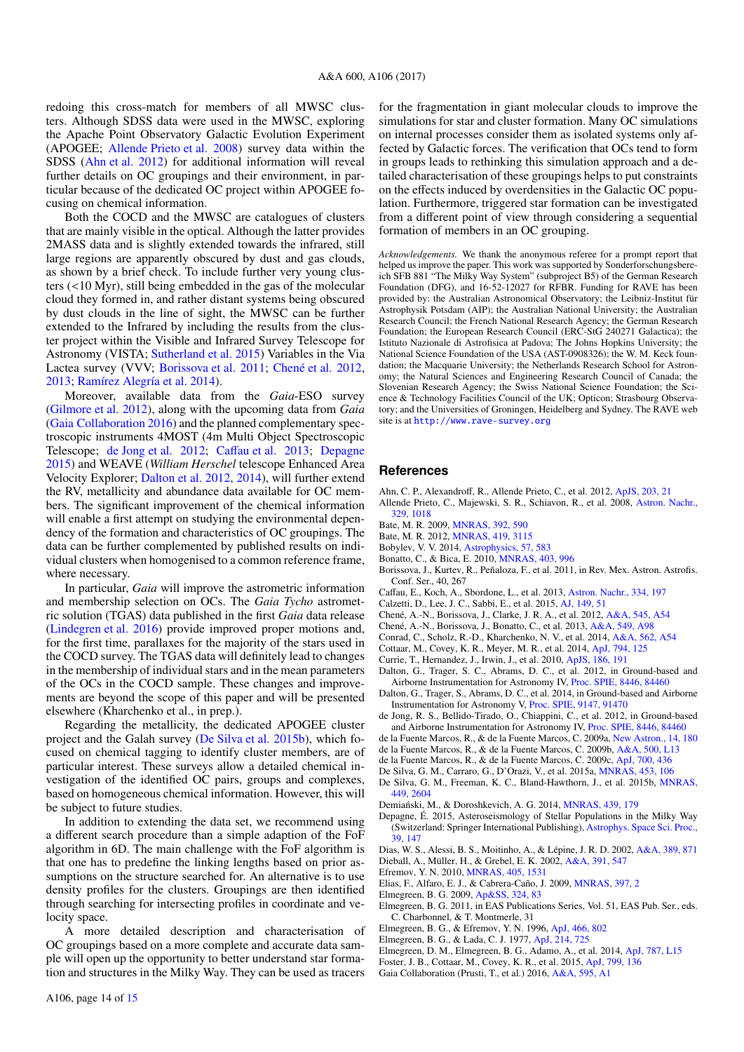redoing this cross-match for members of all MWSC clusters. Although SDSS data were used in the MWSC, exploring the Apache Point Observatory Galactic Evolution Experiment (APOGEE; [Allende Prieto et al.](#page-13-23) [2008\)](#page-13-23) survey data within the SDSS [\(Ahn et al.](#page-13-24) [2012\)](#page-13-24) for additional information will reveal further details on OC groupings and their environment, in particular because of the dedicated OC project within APOGEE focusing on chemical information.

Both the COCD and the MWSC are catalogues of clusters that are mainly visible in the optical. Although the latter provides 2MASS data and is slightly extended towards the infrared, still large regions are apparently obscured by dust and gas clouds, as shown by a brief check. To include further very young clusters (<10 Myr), still being embedded in the gas of the molecular cloud they formed in, and rather distant systems being obscured by dust clouds in the line of sight, the MWSC can be further extended to the Infrared by including the results from the cluster project within the Visible and Infrared Survey Telescope for Astronomy (VISTA; [Sutherland et al.](#page-14-27) [2015\)](#page-14-27) Variables in the Via Lactea survey (VVV; [Borissova et al.](#page-13-25) [2011;](#page-13-25) [Chené et al.](#page-13-26) [2012,](#page-13-26) [2013;](#page-13-27) [Ramírez Alegría et al.](#page-14-28) [2014\)](#page-14-28).

Moreover, available data from the *Gaia*-ESO survey [\(Gilmore et al.](#page-14-29) [2012\)](#page-14-29), along with the upcoming data from *Gaia* [\(Gaia Collaboration](#page-13-28) [2016\)](#page-13-28) and the planned complementary spectroscopic instruments 4MOST (4m Multi Object Spectroscopic Telescope; [de Jong et al.](#page-13-29) [2012;](#page-13-29) Caff[au et al.](#page-13-30) [2013;](#page-13-30) [Depagne](#page-13-31) [2015\)](#page-13-31) and WEAVE (*William Herschel* telescope Enhanced Area Velocity Explorer; [Dalton et al.](#page-13-32) [2012,](#page-13-32) [2014\)](#page-13-33), will further extend the RV, metallicity and abundance data available for OC members. The significant improvement of the chemical information will enable a first attempt on studying the environmental dependency of the formation and characteristics of OC groupings. The data can be further complemented by published results on individual clusters when homogenised to a common reference frame, where necessary.

In particular, *Gaia* will improve the astrometric information and membership selection on OCs. The *Gaia Tycho* astrometric solution (TGAS) data published in the first *Gaia* data release [\(Lindegren et al.](#page-14-30) [2016\)](#page-14-30) provide improved proper motions and, for the first time, parallaxes for the majority of the stars used in the COCD survey. The TGAS data will definitely lead to changes in the membership of individual stars and in the mean parameters of the OCs in the COCD sample. These changes and improvements are beyond the scope of this paper and will be presented elsewhere (Kharchenko et al., in prep.).

Regarding the metallicity, the dedicated APOGEE cluster project and the Galah survey [\(De Silva et al.](#page-13-34) [2015b\)](#page-13-34), which focused on chemical tagging to identify cluster members, are of particular interest. These surveys allow a detailed chemical investigation of the identified OC pairs, groups and complexes, based on homogeneous chemical information. However, this will be subject to future studies.

In addition to extending the data set, we recommend using a different search procedure than a simple adaption of the FoF algorithm in 6D. The main challenge with the FoF algorithm is that one has to predefine the linking lengths based on prior assumptions on the structure searched for. An alternative is to use density profiles for the clusters. Groupings are then identified through searching for intersecting profiles in coordinate and velocity space.

A more detailed description and characterisation of OC groupings based on a more complete and accurate data sample will open up the opportunity to better understand star formation and structures in the Milky Way. They can be used as tracers for the fragmentation in giant molecular clouds to improve the simulations for star and cluster formation. Many OC simulations on internal processes consider them as isolated systems only affected by Galactic forces. The verification that OCs tend to form in groups leads to rethinking this simulation approach and a detailed characterisation of these groupings helps to put constraints on the effects induced by overdensities in the Galactic OC population. Furthermore, triggered star formation can be investigated from a different point of view through considering a sequential formation of members in an OC grouping.

*Acknowledgements.* We thank the anonymous referee for a prompt report that helped us improve the paper. This work was supported by Sonderforschungsbereich SFB 881 "The Milky Way System" (subproject B5) of the German Research Foundation (DFG), and 16-52-12027 for RFBR. Funding for RAVE has been provided by: the Australian Astronomical Observatory; the Leibniz-Institut für Astrophysik Potsdam (AIP); the Australian National University; the Australian Research Council; the French National Research Agency; the German Research Foundation; the European Research Council (ERC-StG 240271 Galactica); the Istituto Nazionale di Astrofisica at Padova; The Johns Hopkins University; the National Science Foundation of the USA (AST-0908326); the W. M. Keck foundation; the Macquarie University; the Netherlands Research School for Astronomy; the Natural Sciences and Engineering Research Council of Canada; the Slovenian Research Agency; the Swiss National Science Foundation; the Science & Technology Facilities Council of the UK; Opticon; Strasbourg Observatory; and the Universities of Groningen, Heidelberg and Sydney. The RAVE web site is at <http://www.rave-survey.org>

### **References**

- <span id="page-13-24"></span>Ahn, C. P., Alexandroff, R., Allende Prieto, C., et al. 2012, [ApJS, 203, 21](http://linker.aanda.org/10.1051/0004-6361/201630012/1)
- <span id="page-13-23"></span>Allende Prieto, C., Majewski, S. R., Schiavon, R., et al. 2008, [Astron. Nachr.,](http://linker.aanda.org/10.1051/0004-6361/201630012/2) [329, 1018](http://linker.aanda.org/10.1051/0004-6361/201630012/2)
- <span id="page-13-17"></span>Bate, M. R. 2009, [MNRAS, 392, 590](http://linker.aanda.org/10.1051/0004-6361/201630012/3)
- <span id="page-13-18"></span>Bate, M. R. 2012, [MNRAS, 419, 3115](http://linker.aanda.org/10.1051/0004-6361/201630012/4)
- <span id="page-13-20"></span>Bobylev, V. V. 2014, [Astrophysics, 57, 583](http://linker.aanda.org/10.1051/0004-6361/201630012/5)
- <span id="page-13-9"></span>Bonatto, C., & Bica, E. 2010, [MNRAS, 403, 996](http://linker.aanda.org/10.1051/0004-6361/201630012/6)
- 
- <span id="page-13-25"></span>Borissova, J., Kurtev, R., Peñaloza, F., et al. 2011, in Rev. Mex. Astron. Astrofis. Conf. Ser., 40, 267
- <span id="page-13-30"></span>Caffau, E., Koch, A., Sbordone, L., et al. 2013, [Astron. Nachr., 334, 197](http://linker.aanda.org/10.1051/0004-6361/201630012/8)
- <span id="page-13-12"></span>Calzetti, D., Lee, J. C., Sabbi, E., et al. 2015, [AJ, 149, 51](http://linker.aanda.org/10.1051/0004-6361/201630012/9)
- <span id="page-13-26"></span>Chené, A.-N., Borissova, J., Clarke, J. R. A., et al. 2012, [A&A, 545, A54](http://linker.aanda.org/10.1051/0004-6361/201630012/10)
- <span id="page-13-27"></span>Chené, A.-N., Borissova, J., Bonatto, C., et al. 2013, [A&A, 549, A98](http://linker.aanda.org/10.1051/0004-6361/201630012/11)
- <span id="page-13-14"></span>Conrad, C., Scholz, R.-D., Kharchenko, N. V., et al. 2014, [A&A, 562, A54](http://linker.aanda.org/10.1051/0004-6361/201630012/12)
- <span id="page-13-15"></span>Cottaar, M., Covey, K. R., Meyer, M. R., et al. 2014, [ApJ, 794, 125](http://linker.aanda.org/10.1051/0004-6361/201630012/13)
- <span id="page-13-21"></span>Currie, T., Hernandez, J., Irwin, J., et al. 2010, [ApJS, 186, 191](http://linker.aanda.org/10.1051/0004-6361/201630012/14)
- <span id="page-13-32"></span>Dalton, G., Trager, S. C., Abrams, D. C., et al. 2012, in Ground-based and Airborne Instrumentation for Astronomy IV, [Proc. SPIE, 8446, 84460](http://linker.aanda.org/10.1051/0004-6361/201630012/15)
- <span id="page-13-33"></span>Dalton, G., Trager, S., Abrams, D. C., et al. 2014, in Ground-based and Airborne Instrumentation for Astronomy V, [Proc. SPIE, 9147, 91470](http://linker.aanda.org/10.1051/0004-6361/201630012/16)
- <span id="page-13-29"></span>de Jong, R. S., Bellido-Tirado, O., Chiappini, C., et al. 2012, in Ground-based and Airborne Instrumentation for Astronomy IV, [Proc. SPIE, 8446, 84460](http://linker.aanda.org/10.1051/0004-6361/201630012/17)
- <span id="page-13-1"></span>de la Fuente Marcos, R., & de la Fuente Marcos, C. 2009a, [New Astron., 14, 180](http://linker.aanda.org/10.1051/0004-6361/201630012/18)
- <span id="page-13-2"></span>de la Fuente Marcos, R., & de la Fuente Marcos, C. 2009b, [A&A, 500, L13](http://linker.aanda.org/10.1051/0004-6361/201630012/19)
- <span id="page-13-3"></span>de la Fuente Marcos, R., & de la Fuente Marcos, C. 2009c, [ApJ, 700, 436](http://linker.aanda.org/10.1051/0004-6361/201630012/20)
- <span id="page-13-22"></span>De Silva, G. M., Carraro, G., D'Orazi, V., et al. 2015a, [MNRAS, 453, 106](http://linker.aanda.org/10.1051/0004-6361/201630012/21)
- <span id="page-13-34"></span>De Silva, G. M., Freeman, K. C., Bland-Hawthorn, J., et al. 2015b, [MNRAS,](http://linker.aanda.org/10.1051/0004-6361/201630012/22) [449, 2604](http://linker.aanda.org/10.1051/0004-6361/201630012/22)
- <span id="page-13-0"></span>Demiański, M., & Doroshkevich, A. G. 2014, *MNRAS*, 439, 179
- <span id="page-13-31"></span>Depagne, É. 2015, Asteroseismology of Stellar Populations in the Milky Way (Switzerland: Springer International Publishing), [Astrophys. Space Sci. Proc.,](http://linker.aanda.org/10.1051/0004-6361/201630012/24) [39, 147](http://linker.aanda.org/10.1051/0004-6361/201630012/24)
- <span id="page-13-4"></span>Dias, W. S., Alessi, B. S., Moitinho, A., & Lépine, J. R. D. 2002, [A&A, 389, 871](http://linker.aanda.org/10.1051/0004-6361/201630012/25)
- <span id="page-13-10"></span>Dieball, A., Müller, H., & Grebel, E. K. 2002, [A&A, 391, 547](http://linker.aanda.org/10.1051/0004-6361/201630012/26)
- <span id="page-13-11"></span>Efremov, Y. N. 2010, [MNRAS, 405, 1531](http://linker.aanda.org/10.1051/0004-6361/201630012/27)
- <span id="page-13-5"></span>Elias, F., Alfaro, E. J., & Cabrera-Caño, J. 2009, [MNRAS, 397, 2](http://linker.aanda.org/10.1051/0004-6361/201630012/28)
- <span id="page-13-6"></span>Elmegreen, B. G. 2009, [Ap&SS, 324, 83](http://linker.aanda.org/10.1051/0004-6361/201630012/29)
- <span id="page-13-7"></span>Elmegreen, B. G. 2011, in EAS Publications Series, Vol. 51, EAS Pub. Ser., eds. C. Charbonnel, & T. Montmerle, 31
- <span id="page-13-8"></span>Elmegreen, B. G., & Efremov, Y. N. 1996, [ApJ, 466, 802](http://linker.aanda.org/10.1051/0004-6361/201630012/31)
- <span id="page-13-19"></span>Elmegreen, B. G., & Lada, C. J. 1977, [ApJ, 214, 725](http://linker.aanda.org/10.1051/0004-6361/201630012/32)
- <span id="page-13-13"></span>Elmegreen, D. M., Elmegreen, B. G., Adamo, A., et al. 2014, [ApJ, 787, L15](http://linker.aanda.org/10.1051/0004-6361/201630012/33)
- <span id="page-13-16"></span>Foster, J. B., Cottaar, M., Covey, K. R., et al. 2015, [ApJ, 799, 136](http://linker.aanda.org/10.1051/0004-6361/201630012/34)
- <span id="page-13-28"></span>Gaia Collaboration (Prusti, T., et al.) 2016, [A&A, 595, A1](http://linker.aanda.org/10.1051/0004-6361/201630012/35)